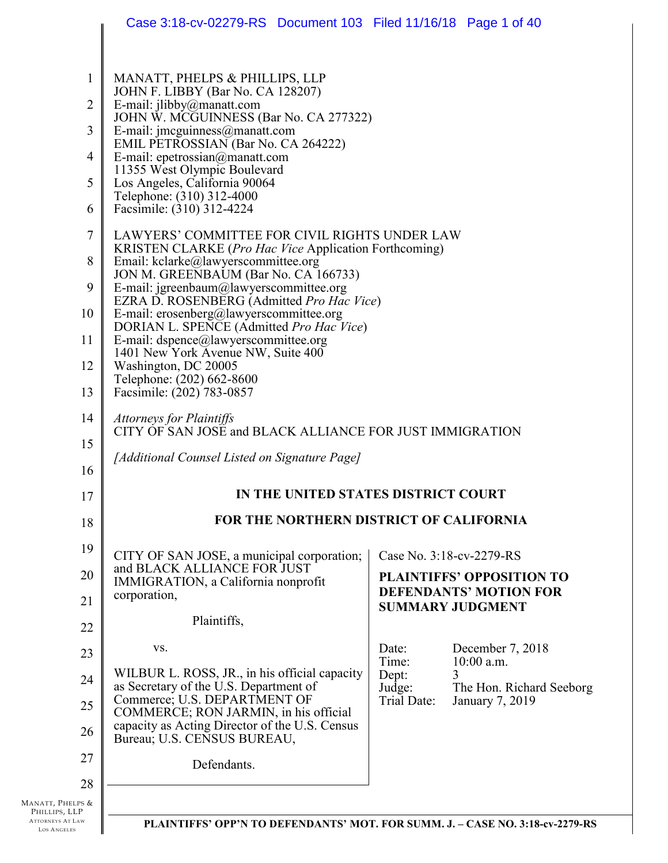|                                                              | Case 3:18-cv-02279-RS  Document 103  Filed 11/16/18  Page 1 of 40                                                                |                                                                               |
|--------------------------------------------------------------|----------------------------------------------------------------------------------------------------------------------------------|-------------------------------------------------------------------------------|
|                                                              |                                                                                                                                  |                                                                               |
| $\mathbf{1}$                                                 | MANATT, PHELPS & PHILLIPS, LLP<br>JOHN F. LIBBY (Bar No. CA 128207)                                                              |                                                                               |
| $\overline{2}$                                               | E-mail: jlibby@manatt.com                                                                                                        |                                                                               |
| 3                                                            | JOHN W. MCGUINNESS (Bar No. CA 277322)<br>E-mail: jmcguinness@manatt.com                                                         |                                                                               |
| $\overline{4}$                                               | EMIL PETROSSIAN (Bar No. CA 264222)<br>E-mail: epetrossian@manatt.com                                                            |                                                                               |
| 5                                                            | 11355 West Olympic Boulevard<br>Los Angeles, California 90064                                                                    |                                                                               |
| 6                                                            | Telephone: (310) 312-4000<br>Facsimile: (310) 312-4224                                                                           |                                                                               |
| $\overline{7}$                                               | LAWYERS' COMMITTEE FOR CIVIL RIGHTS UNDER LAW                                                                                    |                                                                               |
| 8                                                            | KRISTEN CLARKE ( <i>Pro Hac Vice</i> Application Forthcoming)<br>Email: kclarke@lawyerscommittee.org                             |                                                                               |
| 9                                                            | JON M. GREENBAUM (Bar No. CA 166733)<br>E-mail: jgreenbaum@lawyerscommittee.org                                                  |                                                                               |
| 10                                                           | EZRA D. ROSENBERG (Admitted Pro Hac Vice)<br>E-mail: erosenberg@lawyerscommittee.org<br>DORIAN L. SPENCE (Admitted Pro Hac Vice) |                                                                               |
| 11                                                           | E-mail: dspence@lawyerscommittee.org                                                                                             |                                                                               |
| 12                                                           | 1401 New York Avenue NW, Suite 400<br>Washington, DC 20005                                                                       |                                                                               |
| 13                                                           | Telephone: (202) 662-8600<br>Facsimile: (202) 783-0857                                                                           |                                                                               |
| 14                                                           | <b>Attorneys for Plaintiffs</b>                                                                                                  |                                                                               |
| 15                                                           | CITY OF SAN JOSE and BLACK ALLIANCE FOR JUST IMMIGRATION                                                                         |                                                                               |
| 16                                                           | [Additional Counsel Listed on Signature Page]                                                                                    |                                                                               |
| 17                                                           |                                                                                                                                  | IN THE UNITED STATES DISTRICT COURT                                           |
| 18                                                           |                                                                                                                                  | <b>FOR THE NORTHERN DISTRICT OF CALIFORNIA</b>                                |
| 19                                                           | CITY OF SAN JOSE, a municipal corporation;                                                                                       | Case No. 3:18-cv-2279-RS                                                      |
| 20                                                           | and BLACK ALLIANCE FOR JUST<br>IMMIGRATION, a California nonprofit                                                               | <b>PLAINTIFFS' OPPOSITION TO</b>                                              |
| 21                                                           | corporation,                                                                                                                     | <b>DEFENDANTS' MOTION FOR</b><br><b>SUMMARY JUDGMENT</b>                      |
| 22                                                           | Plaintiffs,                                                                                                                      |                                                                               |
| 23                                                           | VS.                                                                                                                              | Date:<br>December 7, 2018<br>Time:<br>10:00 a.m.                              |
| 24                                                           | WILBUR L. ROSS, JR., in his official capacity<br>as Secretary of the U.S. Department of                                          | Dept:<br>3<br>Judge:<br>The Hon. Richard Seeborg                              |
| 25                                                           | Commerce; U.S. DEPARTMENT OF<br>COMMERCE; RON JARMIN, in his official                                                            | Trial Date:<br>January 7, 2019                                                |
| 26                                                           | capacity as Acting Director of the U.S. Census<br>Bureau; U.S. CENSUS BUREAU,                                                    |                                                                               |
| 27                                                           | Defendants.                                                                                                                      |                                                                               |
| 28                                                           |                                                                                                                                  |                                                                               |
| Manatt, Phelps &<br>PHILLIPS, LLP<br><b>ATTORNEYS AT LAW</b> |                                                                                                                                  |                                                                               |
| <b>LOS ANGELES</b>                                           |                                                                                                                                  | PLAINTIFFS' OPP'N TO DEFENDANTS' MOT. FOR SUMM. J. - CASE NO. 3:18-cv-2279-RS |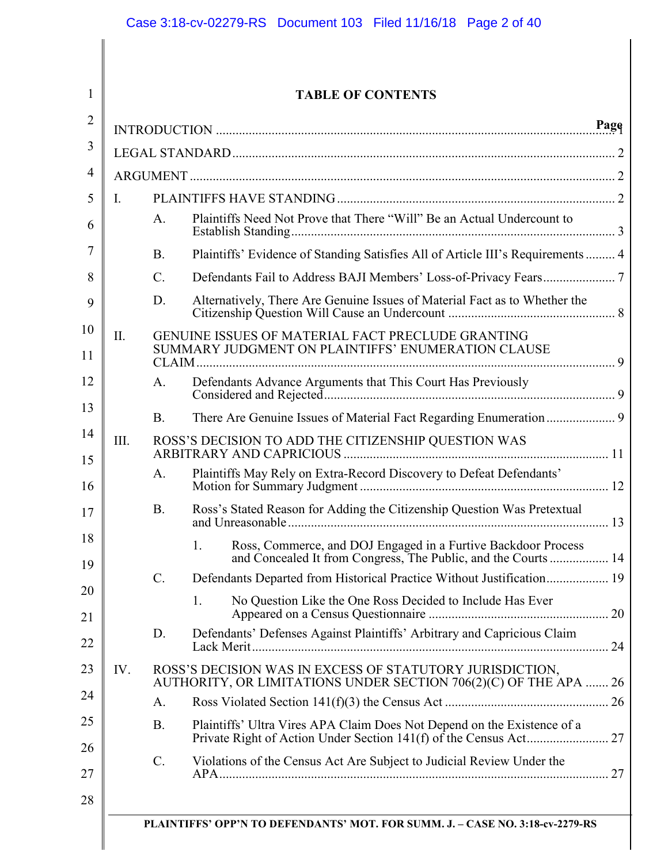1

| <b>TABLE OF CONTENTS</b> |  |
|--------------------------|--|
|--------------------------|--|

| L    |                 |                                                                                                                              |
|------|-----------------|------------------------------------------------------------------------------------------------------------------------------|
|      | A <sub>1</sub>  | Plaintiffs Need Not Prove that There "Will" Be an Actual Undercount to                                                       |
|      | <b>B.</b>       | Plaintiffs' Evidence of Standing Satisfies All of Article III's Requirements  4                                              |
|      | $\mathcal{C}$ . |                                                                                                                              |
|      | D.              | Alternatively, There Are Genuine Issues of Material Fact as to Whether the                                                   |
| II.  |                 | GENUINE ISSUES OF MATERIAL FACT PRECLUDE GRANTING<br>SUMMARY JUDGMENT ON PLAINTIFFS' ENUMERATION CLAUSE                      |
|      | $A_{-}$         | Defendants Advance Arguments that This Court Has Previously                                                                  |
|      | <b>B.</b>       |                                                                                                                              |
| III. |                 | ROSS'S DECISION TO ADD THE CITIZENSHIP QUESTION WAS                                                                          |
|      | A.              | Plaintiffs May Rely on Extra-Record Discovery to Defeat Defendants'                                                          |
|      | <b>B.</b>       | Ross's Stated Reason for Adding the Citizenship Question Was Pretextual                                                      |
|      |                 | $1_{\cdot}$<br>Ross, Commerce, and DOJ Engaged in a Furtive Backdoor Process                                                 |
|      | $\mathcal{C}$ . | Defendants Departed from Historical Practice Without Justification 19                                                        |
|      |                 | No Question Like the One Ross Decided to Include Has Ever<br>1.                                                              |
|      | D.              | Defendants' Defenses Against Plaintiffs' Arbitrary and Capricious Claim                                                      |
| IV.  |                 | ROSS'S DECISION WAS IN EXCESS OF STATUTORY JURISDICTION,<br>AUTHORITY, OR LIMITATIONS UNDER SECTION 706(2)(C) OF THE APA  26 |
|      | A.              |                                                                                                                              |
|      | <b>B.</b>       | Plaintiffs' Ultra Vires APA Claim Does Not Depend on the Existence of a                                                      |
|      | C.              | Violations of the Census Act Are Subject to Judicial Review Under the                                                        |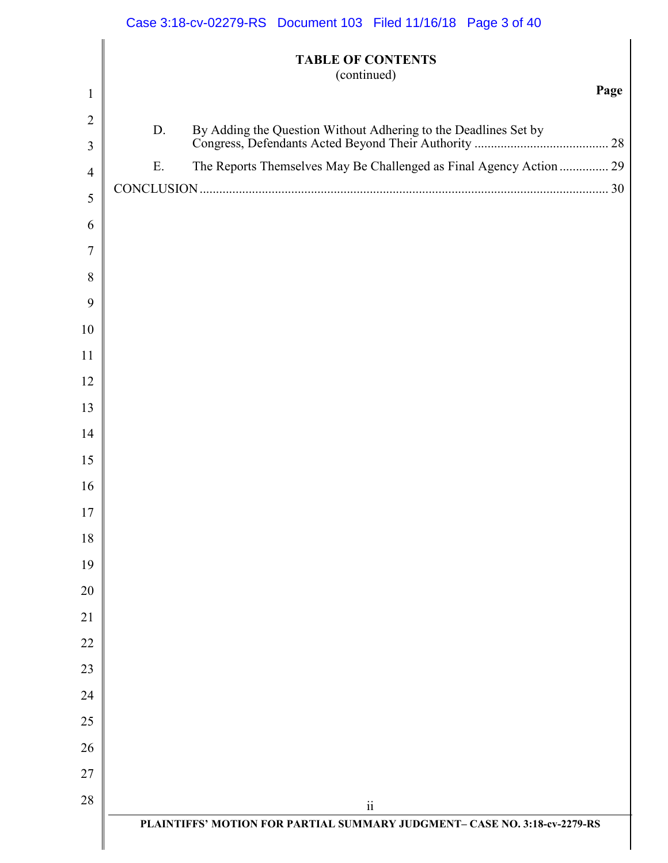|                |    | Case 3:18-cv-02279-RS Document 103 Filed 11/16/18 Page 3 of 40            |      |
|----------------|----|---------------------------------------------------------------------------|------|
| $\mathbf{1}$   |    | <b>TABLE OF CONTENTS</b><br>(continued)                                   | Page |
| $\overline{2}$ |    |                                                                           |      |
| 3              | D. |                                                                           |      |
| $\overline{4}$ | Ε. | The Reports Themselves May Be Challenged as Final Agency Action  29       |      |
| 5              |    |                                                                           |      |
| 6              |    |                                                                           |      |
| 7              |    |                                                                           |      |
| 8              |    |                                                                           |      |
| 9              |    |                                                                           |      |
| 10             |    |                                                                           |      |
| 11             |    |                                                                           |      |
| 12             |    |                                                                           |      |
| 13             |    |                                                                           |      |
| 14             |    |                                                                           |      |
| 15             |    |                                                                           |      |
| 16             |    |                                                                           |      |
| 17             |    |                                                                           |      |
| 18             |    |                                                                           |      |
| 19             |    |                                                                           |      |
| 20             |    |                                                                           |      |
| 21             |    |                                                                           |      |
| 22             |    |                                                                           |      |
| 23             |    |                                                                           |      |
| 24             |    |                                                                           |      |
| 25             |    |                                                                           |      |
| 26             |    |                                                                           |      |
| 27             |    |                                                                           |      |
| 28             |    | $\overline{\textbf{ii}}$                                                  |      |
|                |    | PLAINTIFFS' MOTION FOR PARTIAL SUMMARY JUDGMENT- CASE NO. 3:18-cv-2279-RS |      |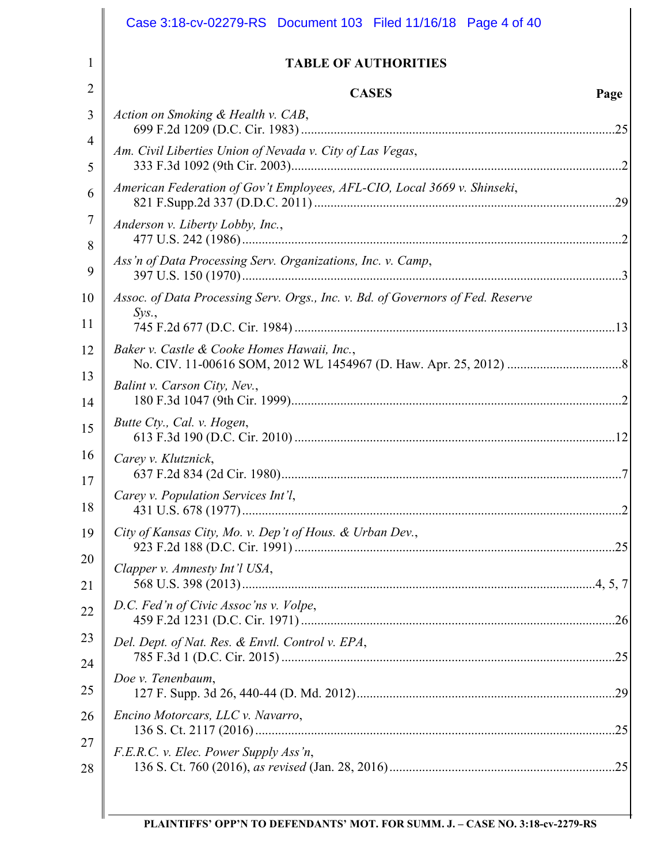| <b>TABLE OF AUTHORITIES</b>                                                             |      |
|-----------------------------------------------------------------------------------------|------|
| <b>CASES</b>                                                                            | Page |
| Action on Smoking & Health v. CAB,                                                      |      |
| Am. Civil Liberties Union of Nevada v. City of Las Vegas,                               |      |
| American Federation of Gov't Employees, AFL-CIO, Local 3669 v. Shinseki,                |      |
| Anderson v. Liberty Lobby, Inc.,                                                        |      |
| Ass'n of Data Processing Serv. Organizations, Inc. v. Camp,                             |      |
| Assoc. of Data Processing Serv. Orgs., Inc. v. Bd. of Governors of Fed. Reserve<br>Sys. |      |
|                                                                                         |      |
| Baker v. Castle & Cooke Homes Hawaii, Inc.,                                             |      |
| Balint v. Carson City, Nev.,                                                            |      |
| Butte Cty., Cal. v. Hogen,                                                              |      |
| Carey v. Klutznick,                                                                     |      |
| Carey v. Population Services Int'l,                                                     |      |
| City of Kansas City, Mo. v. Dep't of Hous. & Urban Dev.,                                |      |
| Clapper v. Amnesty Int'l USA,                                                           |      |
| D.C. Fed'n of Civic Assoc'ns v. Volpe,                                                  |      |
| Del. Dept. of Nat. Res. & Envtl. Control v. EPA,                                        |      |
| Doe v. Tenenbaum,                                                                       |      |
| Encino Motorcars, LLC v. Navarro,                                                       |      |
| F.E.R.C. v. Elec. Power Supply Ass'n,                                                   |      |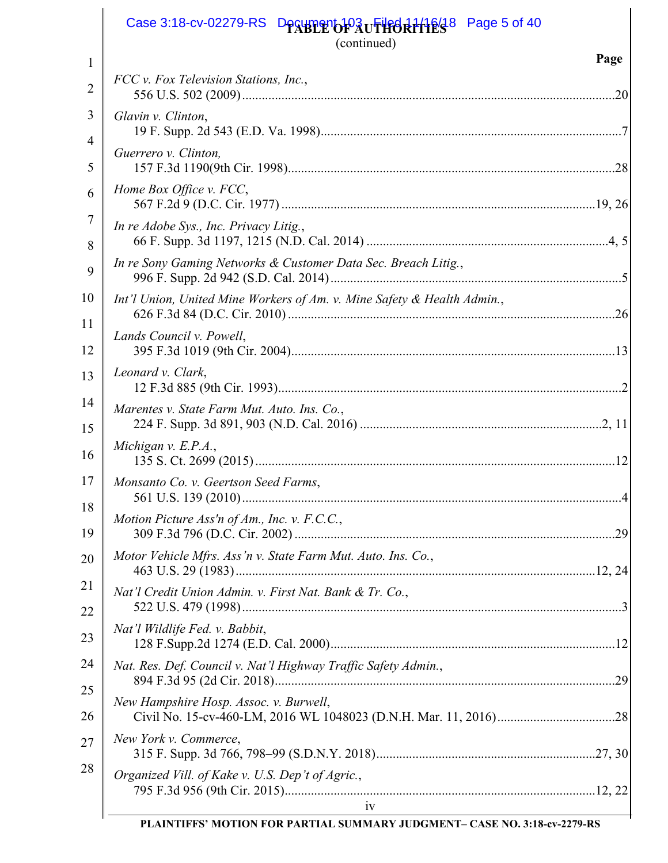|          | Case 3:18-cv-02279-RS<br>Page 5 of 40<br>Desupertor Auflied 21128<br>(continued) |      |
|----------|----------------------------------------------------------------------------------|------|
| 1        |                                                                                  | Page |
| 2        | FCC v. Fox Television Stations, Inc.,                                            | .20  |
| 3<br>4   | Glavin v. Clinton,                                                               |      |
| 5        | Guerrero v. Clinton,                                                             |      |
| 6        | Home Box Office v. FCC,                                                          |      |
| 7<br>8   | In re Adobe Sys., Inc. Privacy Litig.,                                           |      |
| 9        | In re Sony Gaming Networks & Customer Data Sec. Breach Litig.,                   |      |
| 10       | Int'l Union, United Mine Workers of Am. v. Mine Safety & Health Admin.,          |      |
| 11<br>12 | Lands Council v. Powell,                                                         |      |
| 13       | Leonard v. Clark,                                                                |      |
| 14<br>15 | Marentes v. State Farm Mut. Auto. Ins. Co.,                                      |      |
| 16       | Michigan v. $E.P.A.,$                                                            |      |
| 17       | Monsanto Co. v. Geertson Seed Farms,                                             |      |
| 18<br>19 | Motion Picture Ass'n of Am., Inc. v. F.C.C.,                                     |      |
| 20       | Motor Vehicle Mfrs. Ass'n v. State Farm Mut. Auto. Ins. Co.,                     |      |
| 21<br>22 | Nat'l Credit Union Admin. v. First Nat. Bank & Tr. Co.,                          |      |
| 23       | Nat'l Wildlife Fed. v. Babbit,                                                   |      |
| 24       | Nat. Res. Def. Council v. Nat'l Highway Traffic Safety Admin.,                   |      |
| 25<br>26 | New Hampshire Hosp. Assoc. v. Burwell,                                           |      |
| 27       | New York v. Commerce,                                                            |      |
| 28       | Organized Vill. of Kake v. U.S. Dep't of Agric.,                                 |      |
|          | iv<br>$\frac{1}{10}$                                                             |      |

**PLAINTIFFS' MOTION FOR PARTIAL SUMMARY JUDGMENT– CASE NO. 3:18-cv-2279-RS**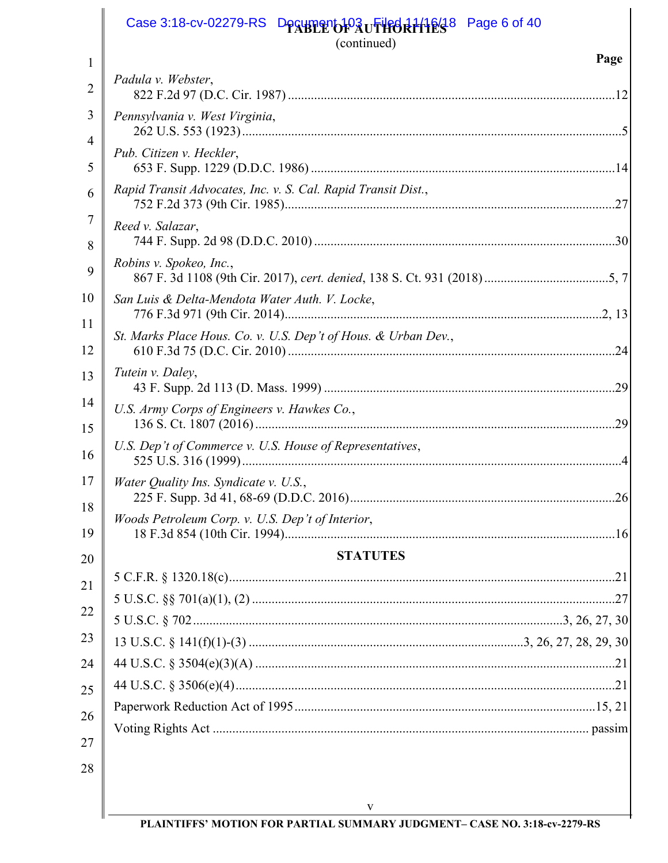| <b>Desument Pauflied Rittles</b> <sup>8</sup><br>(continued)   | Page 6 of 40 |
|----------------------------------------------------------------|--------------|
|                                                                | Page         |
| Padula v. Webster,                                             |              |
| Pennsylvania v. West Virginia,                                 |              |
| Pub. Citizen v. Heckler,                                       |              |
| Rapid Transit Advocates, Inc. v. S. Cal. Rapid Transit Dist.,  |              |
| Reed v. Salazar,                                               |              |
| Robins v. Spokeo, Inc.,                                        |              |
| San Luis & Delta-Mendota Water Auth. V. Locke,                 |              |
| St. Marks Place Hous. Co. v. U.S. Dep't of Hous. & Urban Dev., | .24          |
| Tutein v. Daley,                                               |              |
| U.S. Army Corps of Engineers v. Hawkes Co.,                    | .29          |
| U.S. Dep't of Commerce v. U.S. House of Representatives,       |              |
| Water Quality Ins. Syndicate v. U.S.,                          |              |
| Woods Petroleum Corp. v. U.S. Dep't of Interior,               |              |
| <b>STATUTES</b>                                                |              |
|                                                                |              |
|                                                                |              |
|                                                                |              |
|                                                                |              |
|                                                                |              |
|                                                                |              |
|                                                                |              |
|                                                                |              |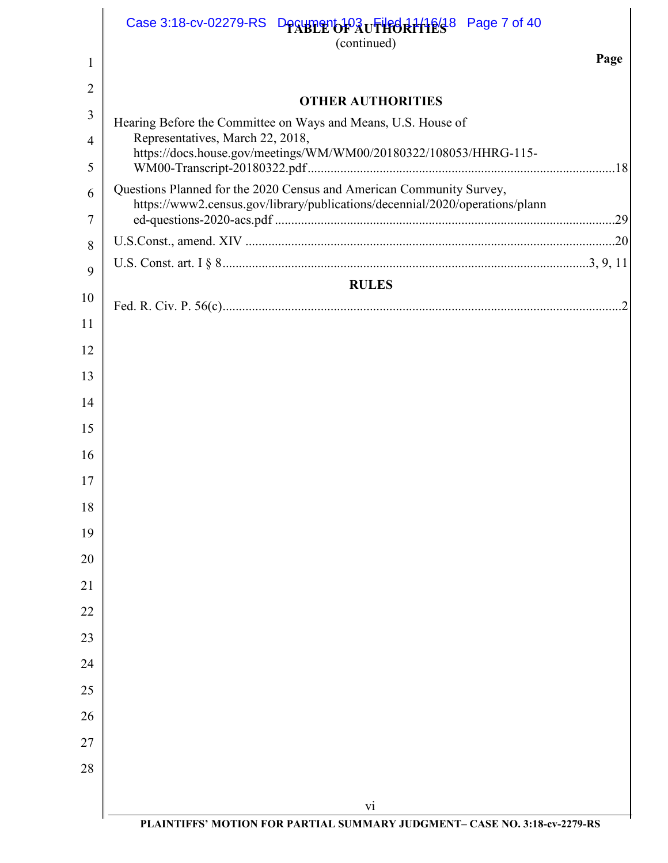|                | Case 3:18-cv-02279-RS $D_{P}$ $Q_{P}$ $Q_{P}$ $Q_{P}$ $Q_{P}$ $Q_{P}$ $Q_{P}$ $Q_{P}$ $Q_{P}$ $Q_{P}$ $Q_{P}$ $Q_{P}$ $Q_{P}$ $Q_{P}$ $Q_{P}$ $Q_{P}$ $Q_{P}$ $Q_{P}$ $Q_{P}$ $Q_{P}$ $Q_{P}$ $Q_{P}$ $Q_{P}$ $Q_{P}$ $Q_{P}$ $Q_{P}$ $Q_{P}$ $Q_{P}$ $Q_{$<br>(continued) |
|----------------|----------------------------------------------------------------------------------------------------------------------------------------------------------------------------------------------------------------------------------------------------------------------------|
| 1              | Page                                                                                                                                                                                                                                                                       |
| $\overline{2}$ | <b>OTHER AUTHORITIES</b>                                                                                                                                                                                                                                                   |
| 3              | Hearing Before the Committee on Ways and Means, U.S. House of                                                                                                                                                                                                              |
| $\overline{4}$ | Representatives, March 22, 2018,                                                                                                                                                                                                                                           |
| 5              | https://docs.house.gov/meetings/WM/WM00/20180322/108053/HHRG-115-                                                                                                                                                                                                          |
| 6<br>7         | Questions Planned for the 2020 Census and American Community Survey,<br>https://www2.census.gov/library/publications/decennial/2020/operations/plann                                                                                                                       |
| 8              |                                                                                                                                                                                                                                                                            |
| 9              |                                                                                                                                                                                                                                                                            |
|                | <b>RULES</b>                                                                                                                                                                                                                                                               |
| 10             |                                                                                                                                                                                                                                                                            |
| 11             |                                                                                                                                                                                                                                                                            |
| 12             |                                                                                                                                                                                                                                                                            |
| 13             |                                                                                                                                                                                                                                                                            |
| 14             |                                                                                                                                                                                                                                                                            |
| 15             |                                                                                                                                                                                                                                                                            |
| 16             |                                                                                                                                                                                                                                                                            |
| 17             |                                                                                                                                                                                                                                                                            |
| 18             |                                                                                                                                                                                                                                                                            |
| 19             |                                                                                                                                                                                                                                                                            |
| 20             |                                                                                                                                                                                                                                                                            |
| 21             |                                                                                                                                                                                                                                                                            |
| 22             |                                                                                                                                                                                                                                                                            |
| 23             |                                                                                                                                                                                                                                                                            |
| 24             |                                                                                                                                                                                                                                                                            |
| 25             |                                                                                                                                                                                                                                                                            |
| 26             |                                                                                                                                                                                                                                                                            |
| 27             |                                                                                                                                                                                                                                                                            |
| 28             |                                                                                                                                                                                                                                                                            |
|                | vi                                                                                                                                                                                                                                                                         |
|                | PLAINTIFFS' MOTION FOR PARTIAL SUMMARY JUDGMENT- CASE NO. 3:18-cv-2279-RS                                                                                                                                                                                                  |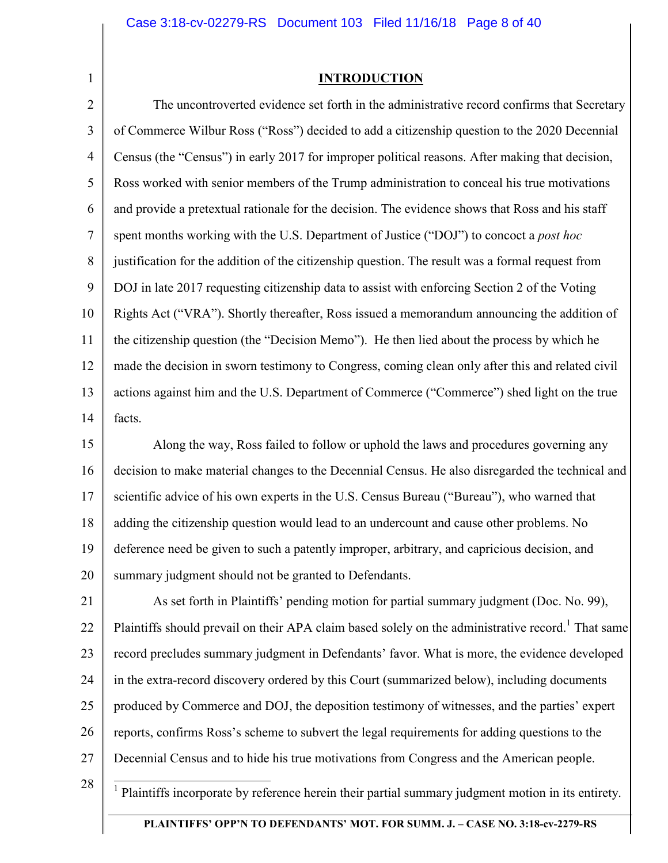#### **INTRODUCTION**

2 3 4 5 6 7 8 9 10 11 12 13 14 The uncontroverted evidence set forth in the administrative record confirms that Secretary of Commerce Wilbur Ross ("Ross") decided to add a citizenship question to the 2020 Decennial Census (the "Census") in early 2017 for improper political reasons. After making that decision, Ross worked with senior members of the Trump administration to conceal his true motivations and provide a pretextual rationale for the decision. The evidence shows that Ross and his staff spent months working with the U.S. Department of Justice ("DOJ") to concoct a *post hoc* justification for the addition of the citizenship question. The result was a formal request from DOJ in late 2017 requesting citizenship data to assist with enforcing Section 2 of the Voting Rights Act ("VRA"). Shortly thereafter, Ross issued a memorandum announcing the addition of the citizenship question (the "Decision Memo"). He then lied about the process by which he made the decision in sworn testimony to Congress, coming clean only after this and related civil actions against him and the U.S. Department of Commerce ("Commerce") shed light on the true facts.

15 16 17 18 19 20 Along the way, Ross failed to follow or uphold the laws and procedures governing any decision to make material changes to the Decennial Census. He also disregarded the technical and scientific advice of his own experts in the U.S. Census Bureau ("Bureau"), who warned that adding the citizenship question would lead to an undercount and cause other problems. No deference need be given to such a patently improper, arbitrary, and capricious decision, and summary judgment should not be granted to Defendants.

21 22 23 24 25 26 27 As set forth in Plaintiffs' pending motion for partial summary judgment (Doc. No. 99), Plaintiffs should prevail on their APA claim based solely on the administrative record.<sup>1</sup> That same record precludes summary judgment in Defendants' favor. What is more, the evidence developed in the extra-record discovery ordered by this Court (summarized below), including documents produced by Commerce and DOJ, the deposition testimony of witnesses, and the parties' expert reports, confirms Ross's scheme to subvert the legal requirements for adding questions to the Decennial Census and to hide his true motivations from Congress and the American people.

28

1

<sup>1</sup> Plaintiffs incorporate by reference herein their partial summary judgment motion in its entirety.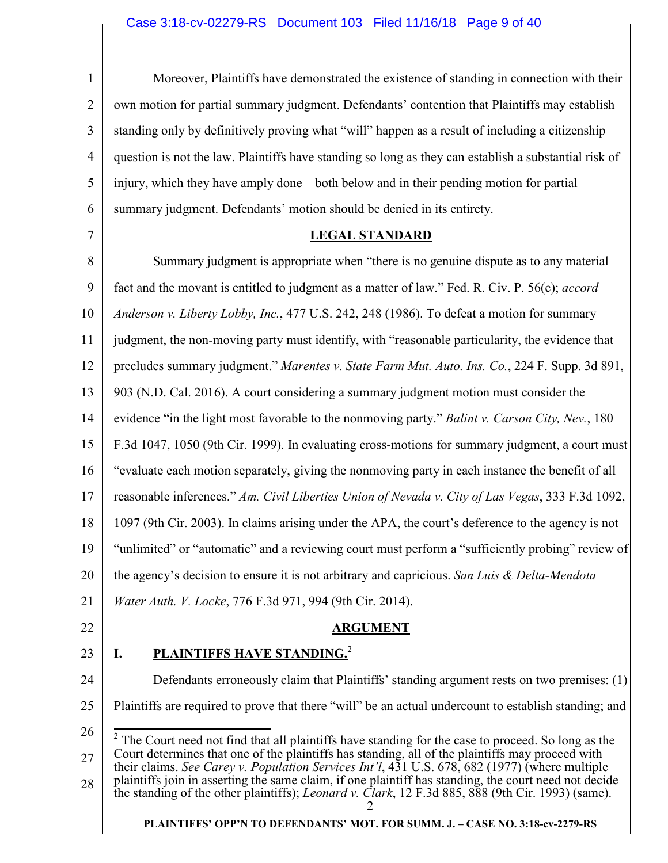# Case 3:18-cv-02279-RS Document 103 Filed 11/16/18 Page 9 of 40

| $\mathbf{1}$   | Moreover, Plaintiffs have demonstrated the existence of standing in connection with their                                                                                                                                                                                                                                                                                                                                                                                                                                     |
|----------------|-------------------------------------------------------------------------------------------------------------------------------------------------------------------------------------------------------------------------------------------------------------------------------------------------------------------------------------------------------------------------------------------------------------------------------------------------------------------------------------------------------------------------------|
| $\overline{2}$ | own motion for partial summary judgment. Defendants' contention that Plaintiffs may establish                                                                                                                                                                                                                                                                                                                                                                                                                                 |
| 3              | standing only by definitively proving what "will" happen as a result of including a citizenship                                                                                                                                                                                                                                                                                                                                                                                                                               |
| 4              | question is not the law. Plaintiffs have standing so long as they can establish a substantial risk of                                                                                                                                                                                                                                                                                                                                                                                                                         |
| 5              | injury, which they have amply done—both below and in their pending motion for partial                                                                                                                                                                                                                                                                                                                                                                                                                                         |
| 6              | summary judgment. Defendants' motion should be denied in its entirety.                                                                                                                                                                                                                                                                                                                                                                                                                                                        |
| $\overline{7}$ | <b>LEGAL STANDARD</b>                                                                                                                                                                                                                                                                                                                                                                                                                                                                                                         |
| 8              | Summary judgment is appropriate when "there is no genuine dispute as to any material                                                                                                                                                                                                                                                                                                                                                                                                                                          |
| 9              | fact and the movant is entitled to judgment as a matter of law." Fed. R. Civ. P. 56(c); accord                                                                                                                                                                                                                                                                                                                                                                                                                                |
| 10             | Anderson v. Liberty Lobby, Inc., 477 U.S. 242, 248 (1986). To defeat a motion for summary                                                                                                                                                                                                                                                                                                                                                                                                                                     |
| 11             | judgment, the non-moving party must identify, with "reasonable particularity, the evidence that                                                                                                                                                                                                                                                                                                                                                                                                                               |
| 12             | precludes summary judgment." Marentes v. State Farm Mut. Auto. Ins. Co., 224 F. Supp. 3d 891,                                                                                                                                                                                                                                                                                                                                                                                                                                 |
| 13             | 903 (N.D. Cal. 2016). A court considering a summary judgment motion must consider the                                                                                                                                                                                                                                                                                                                                                                                                                                         |
| 14             | evidence "in the light most favorable to the nonmoving party." Balint v. Carson City, Nev., 180                                                                                                                                                                                                                                                                                                                                                                                                                               |
| 15             | F.3d 1047, 1050 (9th Cir. 1999). In evaluating cross-motions for summary judgment, a court must                                                                                                                                                                                                                                                                                                                                                                                                                               |
| 16             | "evaluate each motion separately, giving the nonmoving party in each instance the benefit of all                                                                                                                                                                                                                                                                                                                                                                                                                              |
| 17             | reasonable inferences." Am. Civil Liberties Union of Nevada v. City of Las Vegas, 333 F.3d 1092,                                                                                                                                                                                                                                                                                                                                                                                                                              |
| 18             | 1097 (9th Cir. 2003). In claims arising under the APA, the court's deference to the agency is not                                                                                                                                                                                                                                                                                                                                                                                                                             |
| 19             | "unlimited" or "automatic" and a reviewing court must perform a "sufficiently probing" review of                                                                                                                                                                                                                                                                                                                                                                                                                              |
| 20             | the agency's decision to ensure it is not arbitrary and capricious. San Luis & Delta-Mendota                                                                                                                                                                                                                                                                                                                                                                                                                                  |
| 21             | <i>Water Auth. V. Locke, 776 F.3d 971, 994 (9th Cir. 2014).</i>                                                                                                                                                                                                                                                                                                                                                                                                                                                               |
| 22             | <b>ARGUMENT</b>                                                                                                                                                                                                                                                                                                                                                                                                                                                                                                               |
| 23             | <b>PLAINTIFFS HAVE STANDING.<sup>2</sup></b><br>I.                                                                                                                                                                                                                                                                                                                                                                                                                                                                            |
| 24             | Defendants erroneously claim that Plaintiffs' standing argument rests on two premises: (1)                                                                                                                                                                                                                                                                                                                                                                                                                                    |
| 25             | Plaintiffs are required to prove that there "will" be an actual undercount to establish standing; and                                                                                                                                                                                                                                                                                                                                                                                                                         |
| 26<br>27<br>28 | The Court need not find that all plaintiffs have standing for the case to proceed. So long as the<br>Court determines that one of the plaintiffs has standing, all of the plaintiffs may proceed with<br>their claims. See Carey v. Population Services Int'l, 431 U.S. 678, 682 (1977) (where multiple<br>plaintiffs join in asserting the same claim, if one plaintiff has standing, the court need not decide<br>the standing of the other plaintiffs); <i>Leonard v. Clark</i> , 12 F.3d 885, 888 (9th Cir. 1993) (same). |
|                | PLAINTIFFS' OPP'N TO DEFENDANTS' MOT. FOR SUMM. J. - CASE NO. 3:18-cv-2279-RS                                                                                                                                                                                                                                                                                                                                                                                                                                                 |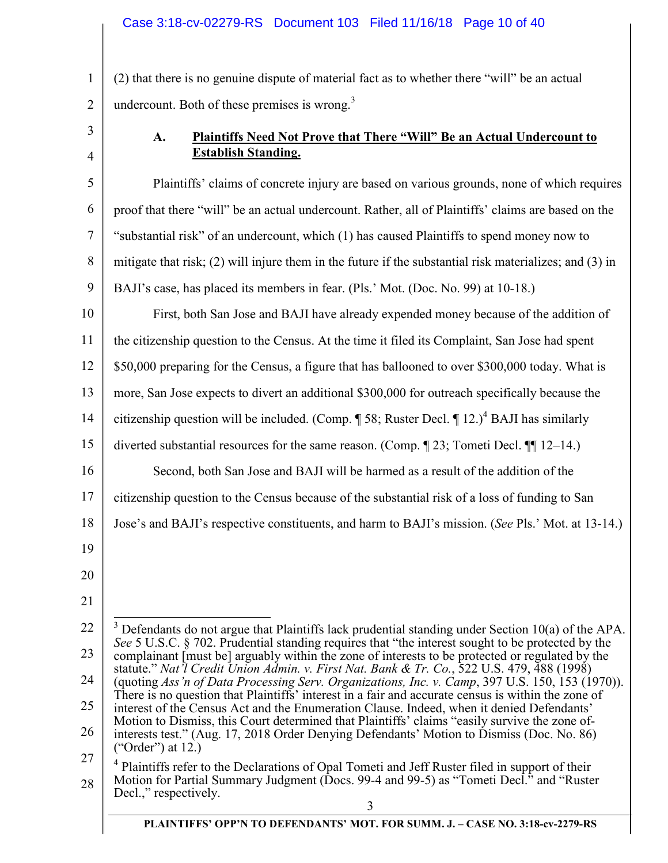1 2 (2) that there is no genuine dispute of material fact as to whether there "will" be an actual undercount. Both of these premises is wrong. $3$ 

3

4

# **A. Plaintiffs Need Not Prove that There "Will" Be an Actual Undercount to Establish Standing.**

5 6 7 8 9 10 11 12 13 14 15 16 17 18 19 20 21 22 Plaintiffs' claims of concrete injury are based on various grounds, none of which requires proof that there "will" be an actual undercount. Rather, all of Plaintiffs' claims are based on the "substantial risk" of an undercount, which (1) has caused Plaintiffs to spend money now to mitigate that risk; (2) will injure them in the future if the substantial risk materializes; and (3) in BAJI's case, has placed its members in fear. (Pls.' Mot. (Doc. No. 99) at 10-18.) First, both San Jose and BAJI have already expended money because of the addition of the citizenship question to the Census. At the time it filed its Complaint, San Jose had spent \$50,000 preparing for the Census, a figure that has ballooned to over \$300,000 today. What is more, San Jose expects to divert an additional \$300,000 for outreach specifically because the citizenship question will be included. (Comp.  $\P$  58; Ruster Decl.  $\P$  12.)<sup>4</sup> BAJI has similarly diverted substantial resources for the same reason. (Comp. ¶ 23; Tometi Decl. ¶¶ 12–14.) Second, both San Jose and BAJI will be harmed as a result of the addition of the citizenship question to the Census because of the substantial risk of a loss of funding to San Jose's and BAJI's respective constituents, and harm to BAJI's mission. (*See* Pls.' Mot. at 13-14.) <sup>3</sup> Defendants do not argue that Plaintiffs lack prudential standing under Section 10(a) of the APA.

23 24 25 26 27 28 *See* 5 U.S.C. § 702. Prudential standing requires that "the interest sought to be protected by the complainant [must be] arguably within the zone of interests to be protected or regulated by the statute." *Nat'l Credit Union Admin. v. First Nat. Bank & Tr. Co.*, 522 U.S. 479, 488 (1998) (quoting *Ass'n of Data Processing Serv. Organizations, Inc. v. Camp*, 397 U.S. 150, 153 (1970)). There is no question that Plaintiffs' interest in a fair and accurate census is within the zone of interest of the Census Act and the Enumeration Clause. Indeed, when it denied Defendants' Motion to Dismiss, this Court determined that Plaintiffs' claims "easily survive the zone ofinterests test." (Aug. 17, 2018 Order Denying Defendants' Motion to Dismiss (Doc. No. 86) ("Order") at 12.) <sup>4</sup> Plaintiffs refer to the Declarations of Opal Tometi and Jeff Ruster filed in support of their Motion for Partial Summary Judgment (Docs. 99-4 and 99-5) as "Tometi Decl." and "Ruster Decl.," respectively.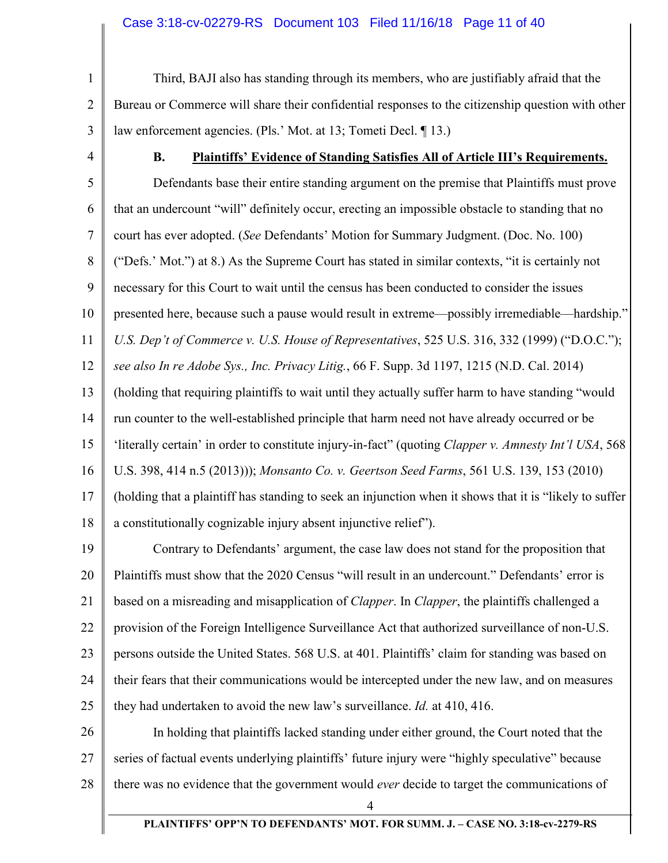#### Case 3:18-cv-02279-RS Document 103 Filed 11/16/18 Page 11 of 40

1 2 3 Third, BAJI also has standing through its members, who are justifiably afraid that the Bureau or Commerce will share their confidential responses to the citizenship question with other law enforcement agencies. (Pls.' Mot. at 13; Tometi Decl. ¶ 13.)

4

#### **B. Plaintiffs' Evidence of Standing Satisfies All of Article III's Requirements.**

5 6 7 8 9 10 11 12 13 14 15 16 17 18 Defendants base their entire standing argument on the premise that Plaintiffs must prove that an undercount "will" definitely occur, erecting an impossible obstacle to standing that no court has ever adopted. (*See* Defendants' Motion for Summary Judgment. (Doc. No. 100) ("Defs.' Mot.") at 8.) As the Supreme Court has stated in similar contexts, "it is certainly not necessary for this Court to wait until the census has been conducted to consider the issues presented here, because such a pause would result in extreme—possibly irremediable—hardship." *U.S. Dep't of Commerce v. U.S. House of Representatives*, 525 U.S. 316, 332 (1999) ("D.O.C."); *see also In re Adobe Sys., Inc. Privacy Litig.*, 66 F. Supp. 3d 1197, 1215 (N.D. Cal. 2014) (holding that requiring plaintiffs to wait until they actually suffer harm to have standing "would run counter to the well-established principle that harm need not have already occurred or be 'literally certain' in order to constitute injury-in-fact" (quoting *Clapper v. Amnesty Int'l USA*, 568 U.S. 398, 414 n.5 (2013))); *Monsanto Co. v. Geertson Seed Farms*, 561 U.S. 139, 153 (2010) (holding that a plaintiff has standing to seek an injunction when it shows that it is "likely to suffer a constitutionally cognizable injury absent injunctive relief").

19 20 21 22 23 24 25 Contrary to Defendants' argument, the case law does not stand for the proposition that Plaintiffs must show that the 2020 Census "will result in an undercount." Defendants' error is based on a misreading and misapplication of *Clapper*. In *Clapper*, the plaintiffs challenged a provision of the Foreign Intelligence Surveillance Act that authorized surveillance of non-U.S. persons outside the United States. 568 U.S. at 401. Plaintiffs' claim for standing was based on their fears that their communications would be intercepted under the new law, and on measures they had undertaken to avoid the new law's surveillance. *Id.* at 410, 416.

26 27 28 In holding that plaintiffs lacked standing under either ground, the Court noted that the series of factual events underlying plaintiffs' future injury were "highly speculative" because there was no evidence that the government would *ever* decide to target the communications of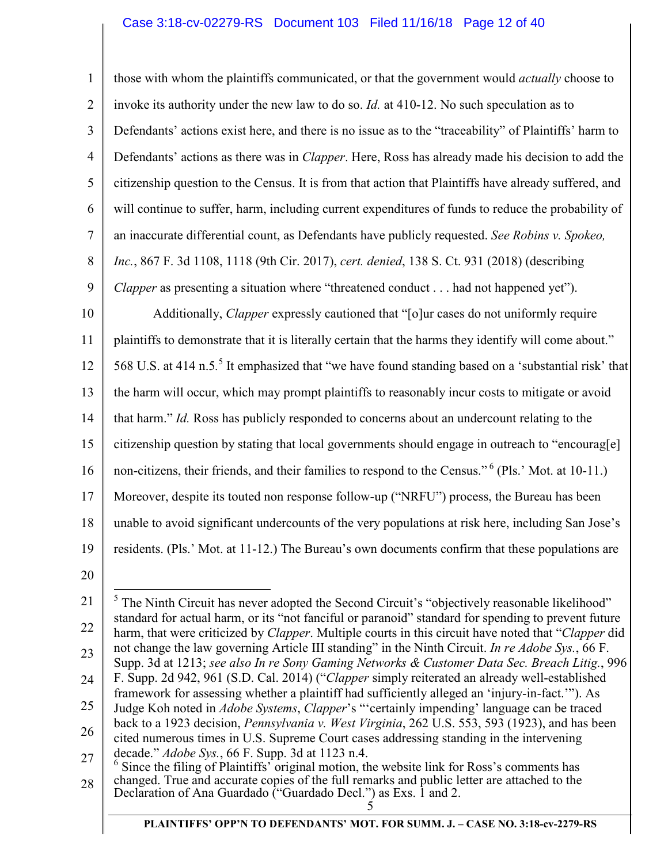1 2 3 4 5 6 7 8 9 10 11 12 13 14 15 16 17 18 19 20 21 22 23 24 25 those with whom the plaintiffs communicated, or that the government would *actually* choose to invoke its authority under the new law to do so. *Id.* at 410-12. No such speculation as to Defendants' actions exist here, and there is no issue as to the "traceability" of Plaintiffs' harm to Defendants' actions as there was in *Clapper*. Here, Ross has already made his decision to add the citizenship question to the Census. It is from that action that Plaintiffs have already suffered, and will continue to suffer, harm, including current expenditures of funds to reduce the probability of an inaccurate differential count, as Defendants have publicly requested. *See Robins v. Spokeo, Inc.*, 867 F. 3d 1108, 1118 (9th Cir. 2017), *cert. denied*, 138 S. Ct. 931 (2018) (describing *Clapper* as presenting a situation where "threatened conduct . . . had not happened yet"). Additionally, *Clapper* expressly cautioned that "[o]ur cases do not uniformly require plaintiffs to demonstrate that it is literally certain that the harms they identify will come about." 568 U.S. at 414 n.5.<sup>5</sup> It emphasized that "we have found standing based on a 'substantial risk' that the harm will occur, which may prompt plaintiffs to reasonably incur costs to mitigate or avoid that harm." *Id.* Ross has publicly responded to concerns about an undercount relating to the citizenship question by stating that local governments should engage in outreach to "encourag[e] non-citizens, their friends, and their families to respond to the Census."<sup>6</sup> (Pls.' Mot. at 10-11.) Moreover, despite its touted non response follow-up ("NRFU") process, the Bureau has been unable to avoid significant undercounts of the very populations at risk here, including San Jose's residents. (Pls.' Mot. at 11-12.) The Bureau's own documents confirm that these populations are  $\overline{a}$  $<sup>5</sup>$  The Ninth Circuit has never adopted the Second Circuit's "objectively reasonable likelihood"</sup> standard for actual harm, or its "not fanciful or paranoid" standard for spending to prevent future harm, that were criticized by *Clapper*. Multiple courts in this circuit have noted that "*Clapper* did not change the law governing Article III standing" in the Ninth Circuit. *In re Adobe Sys.*, 66 F. Supp. 3d at 1213; *see also In re Sony Gaming Networks & Customer Data Sec. Breach Litig.*, 996 F. Supp. 2d 942, 961 (S.D. Cal. 2014) ("*Clapper* simply reiterated an already well-established framework for assessing whether a plaintiff had sufficiently alleged an 'injury-in-fact.'"). As Judge Koh noted in *Adobe Systems*, *Clapper*'s "'certainly impending' language can be traced back to a 1923 decision, *Pennsylvania v. West Virginia*, 262 U.S. 553, 593 (1923), and has been

- 26 27 cited numerous times in U.S. Supreme Court cases addressing standing in the intervening decade." *Adobe Sys.*, 66 F. Supp. 3d at 1123 n.4.<br><sup>6</sup> Since the filing of Plaintiffs' original motion, the website link for Ross's comments has
- 28 changed. True and accurate copies of the full remarks and public letter are attached to the Declaration of Ana Guardado ("Guardado Decl.") as Exs. 1 and 2.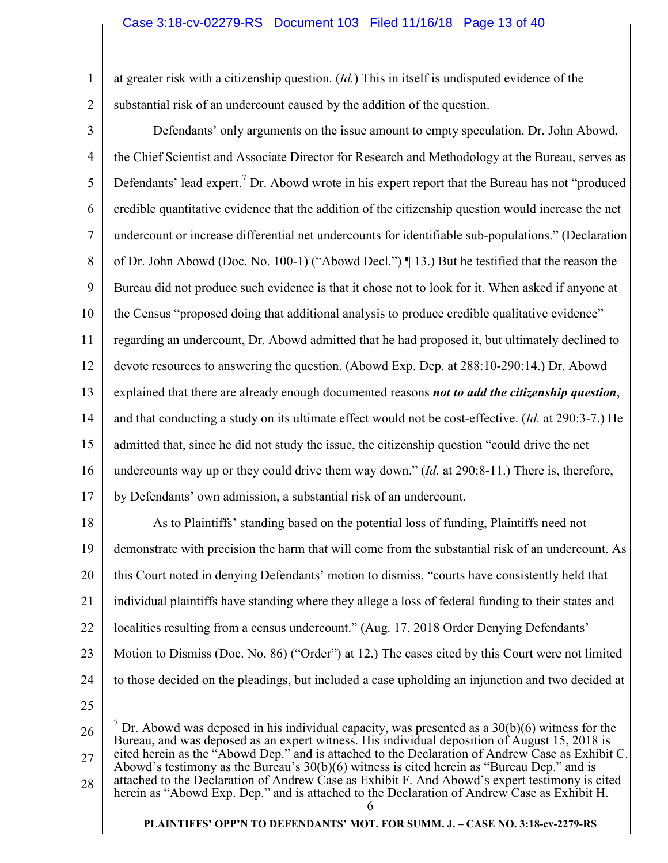1 2 at greater risk with a citizenship question. (*Id.*) This in itself is undisputed evidence of the substantial risk of an undercount caused by the addition of the question.

3 4 5 6 7 8 9 10 11 12 13 14 15 16 17 18 19 20 21 22 23 24 25 Defendants' only arguments on the issue amount to empty speculation. Dr. John Abowd, the Chief Scientist and Associate Director for Research and Methodology at the Bureau, serves as Defendants' lead expert.<sup>7</sup> Dr. Abowd wrote in his expert report that the Bureau has not "produced credible quantitative evidence that the addition of the citizenship question would increase the net undercount or increase differential net undercounts for identifiable sub-populations." (Declaration of Dr. John Abowd (Doc. No. 100-1) ("Abowd Decl.") ¶ 13.) But he testified that the reason the Bureau did not produce such evidence is that it chose not to look for it. When asked if anyone at the Census "proposed doing that additional analysis to produce credible qualitative evidence" regarding an undercount, Dr. Abowd admitted that he had proposed it, but ultimately declined to devote resources to answering the question. (Abowd Exp. Dep. at 288:10-290:14.) Dr. Abowd explained that there are already enough documented reasons *not to add the citizenship question*, and that conducting a study on its ultimate effect would not be cost-effective. (*Id.* at 290:3-7.) He admitted that, since he did not study the issue, the citizenship question "could drive the net undercounts way up or they could drive them way down." (*Id.* at 290:8-11.) There is, therefore, by Defendants' own admission, a substantial risk of an undercount. As to Plaintiffs' standing based on the potential loss of funding, Plaintiffs need not demonstrate with precision the harm that will come from the substantial risk of an undercount. As this Court noted in denying Defendants' motion to dismiss, "courts have consistently held that individual plaintiffs have standing where they allege a loss of federal funding to their states and localities resulting from a census undercount." (Aug. 17, 2018 Order Denying Defendants' Motion to Dismiss (Doc. No. 86) ("Order") at 12.) The cases cited by this Court were not limited to those decided on the pleadings, but included a case upholding an injunction and two decided at <sup>7</sup> Dr. Abowd was deposed in his individual capacity, was presented as a  $30(b)(6)$  witness for the

<sup>26</sup>  27 28 6 Bureau, and was deposed as an expert witness. His individual deposition of August 15, 2018 is cited herein as the "Abowd Dep." and is attached to the Declaration of Andrew Case as Exhibit C. Abowd's testimony as the Bureau's 30(b)(6) witness is cited herein as "Bureau Dep." and is attached to the Declaration of Andrew Case as Exhibit F. And Abowd's expert testimony is cited herein as "Abowd Exp. Dep." and is attached to the Declaration of Andrew Case as Exhibit H.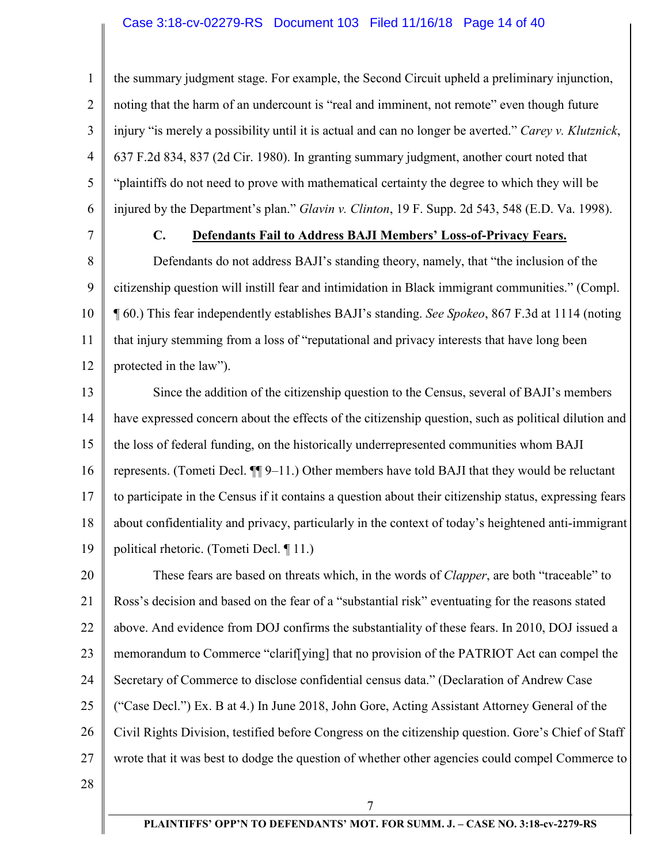#### Case 3:18-cv-02279-RS Document 103 Filed 11/16/18 Page 14 of 40

1 2 3 4 5 6 the summary judgment stage. For example, the Second Circuit upheld a preliminary injunction, noting that the harm of an undercount is "real and imminent, not remote" even though future injury "is merely a possibility until it is actual and can no longer be averted." *Carey v. Klutznick*, 637 F.2d 834, 837 (2d Cir. 1980). In granting summary judgment, another court noted that "plaintiffs do not need to prove with mathematical certainty the degree to which they will be injured by the Department's plan." *Glavin v. Clinton*, 19 F. Supp. 2d 543, 548 (E.D. Va. 1998).

7

# **C. Defendants Fail to Address BAJI Members' Loss-of-Privacy Fears.**

8 9 10 11 12 Defendants do not address BAJI's standing theory, namely, that "the inclusion of the citizenship question will instill fear and intimidation in Black immigrant communities." (Compl. ¶ 60.) This fear independently establishes BAJI's standing. *See Spokeo*, 867 F.3d at 1114 (noting that injury stemming from a loss of "reputational and privacy interests that have long been protected in the law").

13 14 15 16 17 18 19 Since the addition of the citizenship question to the Census, several of BAJI's members have expressed concern about the effects of the citizenship question, such as political dilution and the loss of federal funding, on the historically underrepresented communities whom BAJI represents. (Tometi Decl. ¶¶ 9–11.) Other members have told BAJI that they would be reluctant to participate in the Census if it contains a question about their citizenship status, expressing fears about confidentiality and privacy, particularly in the context of today's heightened anti-immigrant political rhetoric. (Tometi Decl. ¶ 11.)

20 21 22 23 24 25 26 27 These fears are based on threats which, in the words of *Clapper*, are both "traceable" to Ross's decision and based on the fear of a "substantial risk" eventuating for the reasons stated above. And evidence from DOJ confirms the substantiality of these fears. In 2010, DOJ issued a memorandum to Commerce "clarif[ying] that no provision of the PATRIOT Act can compel the Secretary of Commerce to disclose confidential census data." (Declaration of Andrew Case ("Case Decl.") Ex. B at 4.) In June 2018, John Gore, Acting Assistant Attorney General of the Civil Rights Division, testified before Congress on the citizenship question. Gore's Chief of Staff wrote that it was best to dodge the question of whether other agencies could compel Commerce to

28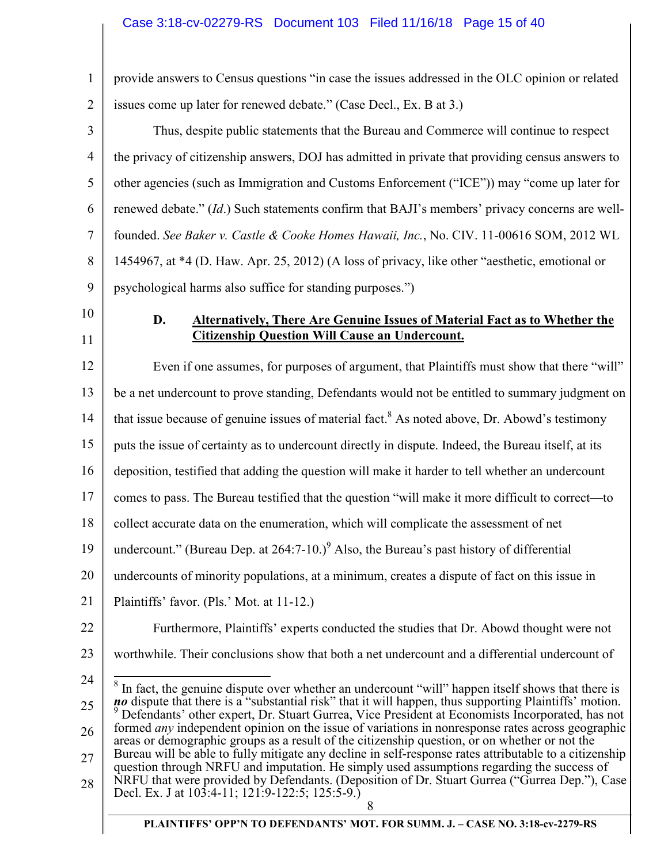| $\mathbf{1}$   | provide answers to Census questions "in case the issues addressed in the OLC opinion or related                                                                                                           |
|----------------|-----------------------------------------------------------------------------------------------------------------------------------------------------------------------------------------------------------|
| $\overline{2}$ | issues come up later for renewed debate." (Case Decl., Ex. B at 3.)                                                                                                                                       |
| 3              | Thus, despite public statements that the Bureau and Commerce will continue to respect                                                                                                                     |
| 4              | the privacy of citizenship answers, DOJ has admitted in private that providing census answers to                                                                                                          |
| 5              | other agencies (such as Immigration and Customs Enforcement ("ICE")) may "come up later for                                                                                                               |
| 6              | renewed debate." (Id.) Such statements confirm that BAJI's members' privacy concerns are well-                                                                                                            |
| 7              | founded. See Baker v. Castle & Cooke Homes Hawaii, Inc., No. CIV. 11-00616 SOM, 2012 WL                                                                                                                   |
| 8              | 1454967, at *4 (D. Haw. Apr. 25, 2012) (A loss of privacy, like other "aesthetic, emotional or                                                                                                            |
| 9              | psychological harms also suffice for standing purposes.")                                                                                                                                                 |
| 10             | D.<br><b>Alternatively, There Are Genuine Issues of Material Fact as to Whether the</b>                                                                                                                   |
| 11             | <b>Citizenship Question Will Cause an Undercount.</b>                                                                                                                                                     |
| 12             | Even if one assumes, for purposes of argument, that Plaintiffs must show that there "will"                                                                                                                |
| 13             | be a net undercount to prove standing, Defendants would not be entitled to summary judgment on                                                                                                            |
| 14             | that issue because of genuine issues of material fact. <sup>8</sup> As noted above, Dr. Abowd's testimony                                                                                                 |
| 15             | puts the issue of certainty as to undercount directly in dispute. Indeed, the Bureau itself, at its                                                                                                       |
| 16             | deposition, testified that adding the question will make it harder to tell whether an undercount                                                                                                          |
| 17             | comes to pass. The Bureau testified that the question "will make it more difficult to correct—to                                                                                                          |
| 18             | collect accurate data on the enumeration, which will complicate the assessment of net                                                                                                                     |
| 19             | undercount." (Bureau Dep. at $264:7-10.$ ) <sup>9</sup> Also, the Bureau's past history of differential                                                                                                   |
| 20             | undercounts of minority populations, at a minimum, creates a dispute of fact on this issue in                                                                                                             |
| 21             | Plaintiffs' favor. (Pls.' Mot. at 11-12.)                                                                                                                                                                 |
| 22             | Furthermore, Plaintiffs' experts conducted the studies that Dr. Abowd thought were not                                                                                                                    |
| 23             | worthwhile. Their conclusions show that both a net undercount and a differential undercount of                                                                                                            |
| 24             | In fact, the genuine dispute over whether an undercount "will" happen itself shows that there is                                                                                                          |
| 25             | no dispute that there is a "substantial risk" that it will happen, thus supporting Plaintiffs' motion.<br>Defendants' other expert, Dr. Stuart Gurrea, Vice President at Economists Incorporated, has not |
| 26             | formed <i>any</i> independent opinion on the issue of variations in nonresponse rates across geographic<br>areas or demographic groups as a result of the citizenship question, or on whether or not the  |
| 27             | Bureau will be able to fully mitigate any decline in self-response rates attributable to a citizenship<br>question through NRFU and imputation. He simply used assumptions regarding the success of       |
| 28             | NRFU that were provided by Defendants. (Deposition of Dr. Stuart Gurrea ("Gurrea Dep."), Case<br>Decl. Ex. J at 103:4-11; 121:9-122:5; 125:5-9.)                                                          |
|                | 8                                                                                                                                                                                                         |
|                | PLAINTIFFS' OPP'N TO DEFENDANTS' MOT. FOR SUMM. J. - CASE NO. 3:18-cv-2279-RS                                                                                                                             |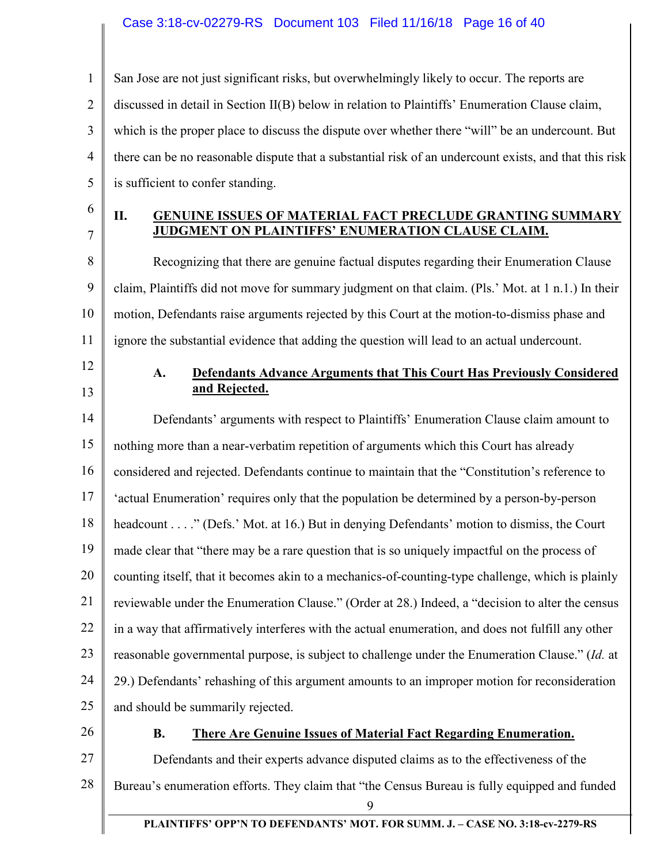#### Case 3:18-cv-02279-RS Document 103 Filed 11/16/18 Page 16 of 40

1 2 3 4 5 San Jose are not just significant risks, but overwhelmingly likely to occur. The reports are discussed in detail in Section II(B) below in relation to Plaintiffs' Enumeration Clause claim, which is the proper place to discuss the dispute over whether there "will" be an undercount. But there can be no reasonable dispute that a substantial risk of an undercount exists, and that this risk is sufficient to confer standing.

6 7

#### **II. GENUINE ISSUES OF MATERIAL FACT PRECLUDE GRANTING SUMMARY JUDGMENT ON PLAINTIFFS' ENUMERATION CLAUSE CLAIM.**

8 9 10 11 Recognizing that there are genuine factual disputes regarding their Enumeration Clause claim, Plaintiffs did not move for summary judgment on that claim. (Pls.' Mot. at 1 n.1.) In their motion, Defendants raise arguments rejected by this Court at the motion-to-dismiss phase and ignore the substantial evidence that adding the question will lead to an actual undercount.

- 12
- 13

### **A. Defendants Advance Arguments that This Court Has Previously Considered and Rejected.**

14 15 16 17 18 19 20 21 22 23 24 25 Defendants' arguments with respect to Plaintiffs' Enumeration Clause claim amount to nothing more than a near-verbatim repetition of arguments which this Court has already considered and rejected. Defendants continue to maintain that the "Constitution's reference to 'actual Enumeration' requires only that the population be determined by a person-by-person headcount . . . ." (Defs.' Mot. at 16.) But in denying Defendants' motion to dismiss, the Court made clear that "there may be a rare question that is so uniquely impactful on the process of counting itself, that it becomes akin to a mechanics-of-counting-type challenge, which is plainly reviewable under the Enumeration Clause." (Order at 28.) Indeed, a "decision to alter the census in a way that affirmatively interferes with the actual enumeration, and does not fulfill any other reasonable governmental purpose, is subject to challenge under the Enumeration Clause." (*Id.* at 29.) Defendants' rehashing of this argument amounts to an improper motion for reconsideration and should be summarily rejected.

26

#### **B. There Are Genuine Issues of Material Fact Regarding Enumeration.**

27 28 9 Defendants and their experts advance disputed claims as to the effectiveness of the Bureau's enumeration efforts. They claim that "the Census Bureau is fully equipped and funded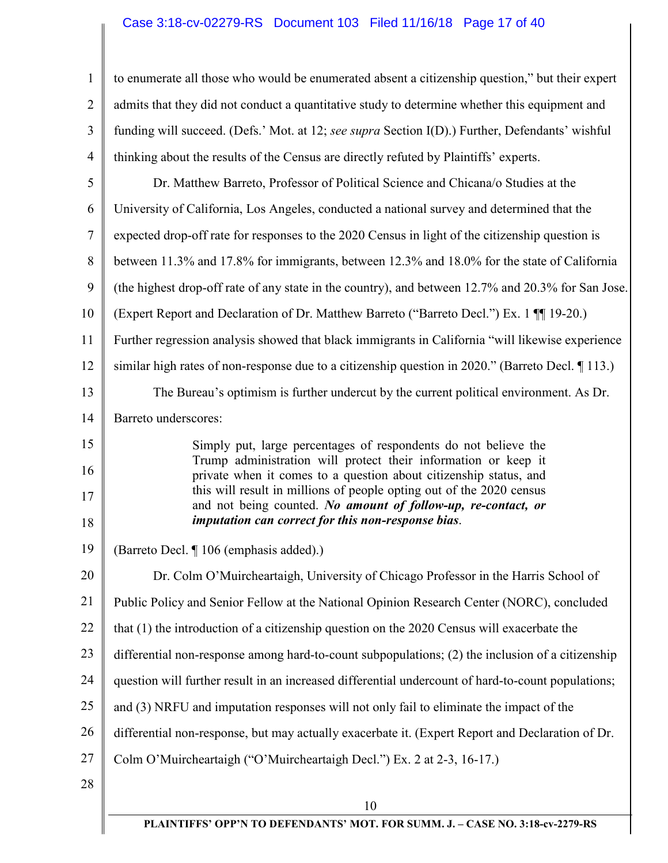# Case 3:18-cv-02279-RS Document 103 Filed 11/16/18 Page 17 of 40

| $\mathbf{1}$   | to enumerate all those who would be enumerated absent a citizenship question," but their expert                                       |
|----------------|---------------------------------------------------------------------------------------------------------------------------------------|
| $\overline{2}$ | admits that they did not conduct a quantitative study to determine whether this equipment and                                         |
| 3              | funding will succeed. (Defs.' Mot. at 12; see supra Section I(D).) Further, Defendants' wishful                                       |
| 4              | thinking about the results of the Census are directly refuted by Plaintiffs' experts.                                                 |
| 5              | Dr. Matthew Barreto, Professor of Political Science and Chicana/o Studies at the                                                      |
| 6              | University of California, Los Angeles, conducted a national survey and determined that the                                            |
| 7              | expected drop-off rate for responses to the 2020 Census in light of the citizenship question is                                       |
| 8              | between 11.3% and 17.8% for immigrants, between 12.3% and 18.0% for the state of California                                           |
| 9              | (the highest drop-off rate of any state in the country), and between 12.7% and 20.3% for San Jose.                                    |
| 10             | (Expert Report and Declaration of Dr. Matthew Barreto ("Barreto Decl.") Ex. 1 [[1] 19-20.)                                            |
| 11             | Further regression analysis showed that black immigrants in California "will likewise experience                                      |
| 12             | similar high rates of non-response due to a citizenship question in 2020." (Barreto Decl. 113.)                                       |
| 13             | The Bureau's optimism is further undercut by the current political environment. As Dr.                                                |
| 14             | Barreto underscores:                                                                                                                  |
| 15             | Simply put, large percentages of respondents do not believe the                                                                       |
| 16             | Trump administration will protect their information or keep it<br>private when it comes to a question about citizenship status, and   |
| 17             | this will result in millions of people opting out of the 2020 census<br>and not being counted. No amount of follow-up, re-contact, or |
| 18             | imputation can correct for this non-response bias.                                                                                    |
| 19             | (Barreto Decl. ¶ 106 (emphasis added).)                                                                                               |
| 20             | Dr. Colm O'Muircheartaigh, University of Chicago Professor in the Harris School of                                                    |
| 21             | Public Policy and Senior Fellow at the National Opinion Research Center (NORC), concluded                                             |
| 22             | that (1) the introduction of a citizenship question on the 2020 Census will exacerbate the                                            |
| 23             | differential non-response among hard-to-count subpopulations; (2) the inclusion of a citizenship                                      |
| 24             | question will further result in an increased differential undercount of hard-to-count populations;                                    |
| 25             | and (3) NRFU and imputation responses will not only fail to eliminate the impact of the                                               |
| 26             | differential non-response, but may actually exacerbate it. (Expert Report and Declaration of Dr.                                      |
| 27             | Colm O'Muircheartaigh ("O'Muircheartaigh Decl.") Ex. 2 at 2-3, 16-17.)                                                                |
| 28             |                                                                                                                                       |
|                | 10                                                                                                                                    |

∥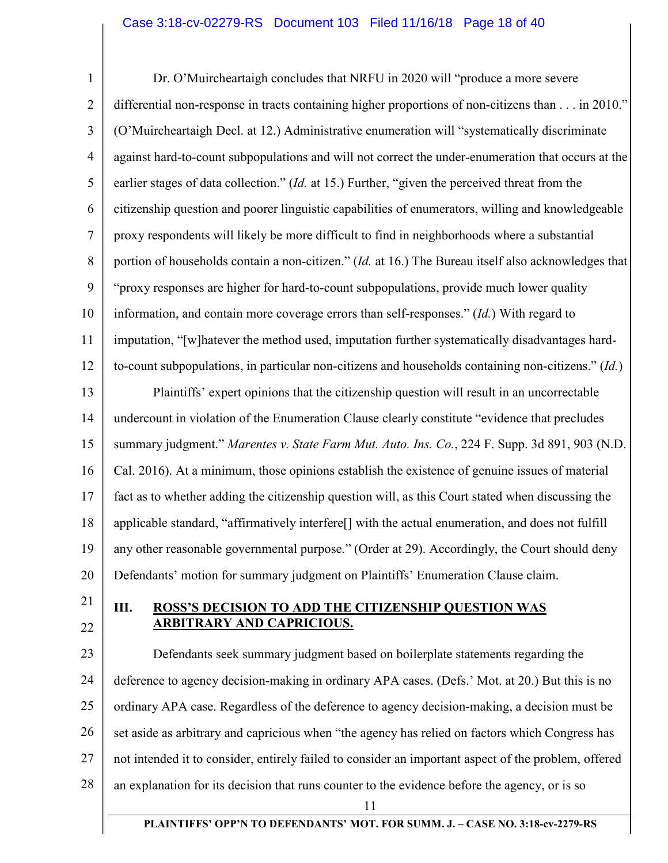1 2 3 4 5 6 7 8 9 10 11 12 13 14 15 16 17 18 19 20 21 22 Dr. O'Muircheartaigh concludes that NRFU in 2020 will "produce a more severe differential non-response in tracts containing higher proportions of non-citizens than . . . in 2010." (O'Muircheartaigh Decl. at 12.) Administrative enumeration will "systematically discriminate against hard-to-count subpopulations and will not correct the under-enumeration that occurs at the earlier stages of data collection." (*Id.* at 15.) Further, "given the perceived threat from the citizenship question and poorer linguistic capabilities of enumerators, willing and knowledgeable proxy respondents will likely be more difficult to find in neighborhoods where a substantial portion of households contain a non-citizen." (*Id.* at 16.) The Bureau itself also acknowledges that "proxy responses are higher for hard-to-count subpopulations, provide much lower quality information, and contain more coverage errors than self-responses." (*Id.*) With regard to imputation, "[w]hatever the method used, imputation further systematically disadvantages hardto-count subpopulations, in particular non-citizens and households containing non-citizens." (*Id.*) Plaintiffs' expert opinions that the citizenship question will result in an uncorrectable undercount in violation of the Enumeration Clause clearly constitute "evidence that precludes summary judgment." *Marentes v. State Farm Mut. Auto. Ins. Co.*, 224 F. Supp. 3d 891, 903 (N.D. Cal. 2016). At a minimum, those opinions establish the existence of genuine issues of material fact as to whether adding the citizenship question will, as this Court stated when discussing the applicable standard, "affirmatively interfere[] with the actual enumeration, and does not fulfill any other reasonable governmental purpose." (Order at 29). Accordingly, the Court should deny Defendants' motion for summary judgment on Plaintiffs' Enumeration Clause claim. **III. ROSS'S DECISION TO ADD THE CITIZENSHIP QUESTION WAS ARBITRARY AND CAPRICIOUS.** 

23 24 25 26 27 28 Defendants seek summary judgment based on boilerplate statements regarding the deference to agency decision-making in ordinary APA cases. (Defs.' Mot. at 20.) But this is no ordinary APA case. Regardless of the deference to agency decision-making, a decision must be set aside as arbitrary and capricious when "the agency has relied on factors which Congress has not intended it to consider, entirely failed to consider an important aspect of the problem, offered an explanation for its decision that runs counter to the evidence before the agency, or is so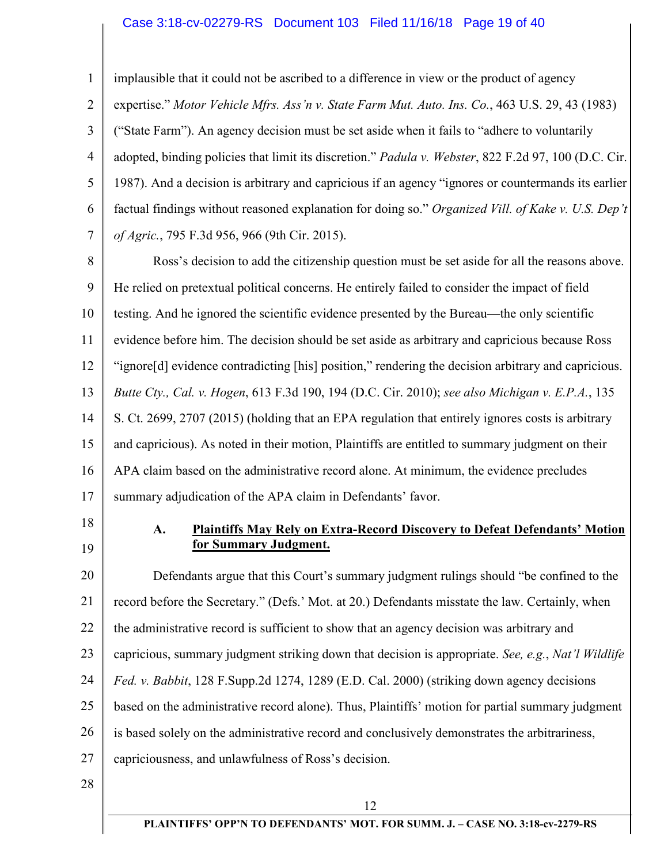#### Case 3:18-cv-02279-RS Document 103 Filed 11/16/18 Page 19 of 40

1 2 3 4 5 6 7 implausible that it could not be ascribed to a difference in view or the product of agency expertise." *Motor Vehicle Mfrs. Ass'n v. State Farm Mut. Auto. Ins. Co.*, 463 U.S. 29, 43 (1983) ("State Farm"). An agency decision must be set aside when it fails to "adhere to voluntarily adopted, binding policies that limit its discretion." *Padula v. Webster*, 822 F.2d 97, 100 (D.C. Cir. 1987). And a decision is arbitrary and capricious if an agency "ignores or countermands its earlier factual findings without reasoned explanation for doing so." *Organized Vill. of Kake v. U.S. Dep't of Agric.*, 795 F.3d 956, 966 (9th Cir. 2015).

8 9 10 11 12 13 14 15 16 17 Ross's decision to add the citizenship question must be set aside for all the reasons above. He relied on pretextual political concerns. He entirely failed to consider the impact of field testing. And he ignored the scientific evidence presented by the Bureau—the only scientific evidence before him. The decision should be set aside as arbitrary and capricious because Ross "ignore[d] evidence contradicting [his] position," rendering the decision arbitrary and capricious. *Butte Cty., Cal. v. Hogen*, 613 F.3d 190, 194 (D.C. Cir. 2010); *see also Michigan v. E.P.A.*, 135 S. Ct. 2699, 2707 (2015) (holding that an EPA regulation that entirely ignores costs is arbitrary and capricious). As noted in their motion, Plaintiffs are entitled to summary judgment on their APA claim based on the administrative record alone. At minimum, the evidence precludes summary adjudication of the APA claim in Defendants' favor.

- 18
- 19

## **A. Plaintiffs May Rely on Extra-Record Discovery to Defeat Defendants' Motion for Summary Judgment.**

20 21 22 23 24 25 26 27 Defendants argue that this Court's summary judgment rulings should "be confined to the record before the Secretary." (Defs.' Mot. at 20.) Defendants misstate the law. Certainly, when the administrative record is sufficient to show that an agency decision was arbitrary and capricious, summary judgment striking down that decision is appropriate. *See, e.g.*, *Nat'l Wildlife Fed. v. Babbit*, 128 F.Supp.2d 1274, 1289 (E.D. Cal. 2000) (striking down agency decisions based on the administrative record alone). Thus, Plaintiffs' motion for partial summary judgment is based solely on the administrative record and conclusively demonstrates the arbitrariness, capriciousness, and unlawfulness of Ross's decision.

28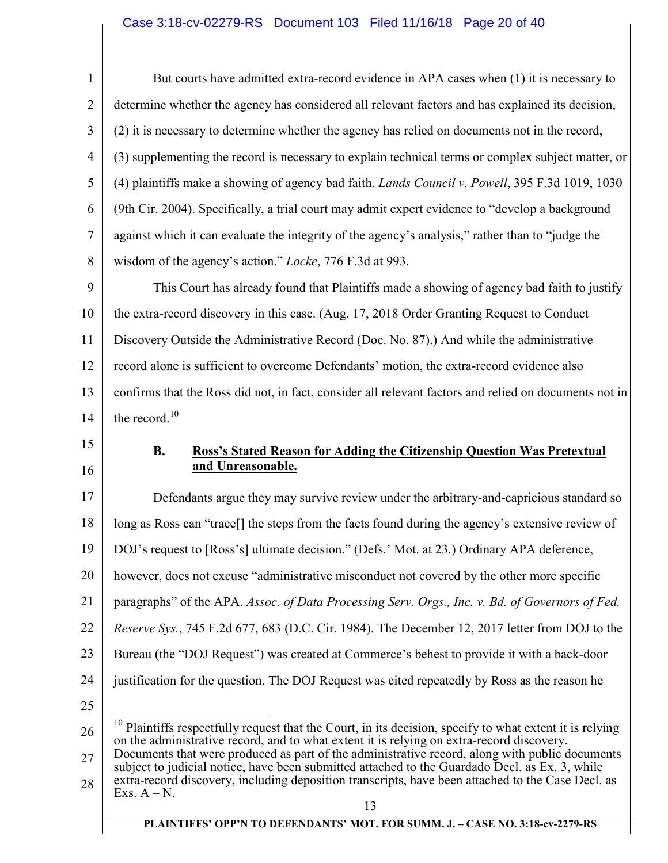# Case 3:18-cv-02279-RS Document 103 Filed 11/16/18 Page 20 of 40

| $\mathbf{1}$   | But courts have admitted extra-record evidence in APA cases when (1) it is necessary to                                                                                                                 |
|----------------|---------------------------------------------------------------------------------------------------------------------------------------------------------------------------------------------------------|
| $\overline{2}$ | determine whether the agency has considered all relevant factors and has explained its decision,                                                                                                        |
| 3              | (2) it is necessary to determine whether the agency has relied on documents not in the record,                                                                                                          |
| 4              | (3) supplementing the record is necessary to explain technical terms or complex subject matter, or                                                                                                      |
| 5              | (4) plaintiffs make a showing of agency bad faith. <i>Lands Council v. Powell</i> , 395 F.3d 1019, 1030                                                                                                 |
| 6              | (9th Cir. 2004). Specifically, a trial court may admit expert evidence to "develop a background"                                                                                                        |
| 7              | against which it can evaluate the integrity of the agency's analysis," rather than to "judge the                                                                                                        |
| 8              | wisdom of the agency's action." Locke, 776 F.3d at 993.                                                                                                                                                 |
| 9              | This Court has already found that Plaintiffs made a showing of agency bad faith to justify                                                                                                              |
| 10             | the extra-record discovery in this case. (Aug. 17, 2018 Order Granting Request to Conduct                                                                                                               |
| 11             | Discovery Outside the Administrative Record (Doc. No. 87).) And while the administrative                                                                                                                |
| 12             | record alone is sufficient to overcome Defendants' motion, the extra-record evidence also                                                                                                               |
| 13             | confirms that the Ross did not, in fact, consider all relevant factors and relied on documents not in                                                                                                   |
| 14             | the record. <sup>10</sup>                                                                                                                                                                               |
| 15             | <b>B.</b><br><b>Ross's Stated Reason for Adding the Citizenship Question Was Pretextual</b>                                                                                                             |
| 16             | and Unreasonable.                                                                                                                                                                                       |
| 17             | Defendants argue they may survive review under the arbitrary-and-capricious standard so                                                                                                                 |
| 18             | long as Ross can "trace[] the steps from the facts found during the agency's extensive review of                                                                                                        |
| 19             | DOJ's request to [Ross's] ultimate decision." (Defs.' Mot. at 23.) Ordinary APA deference,                                                                                                              |
| 20             | however, does not excuse "administrative misconduct not covered by the other more specific                                                                                                              |
| 21             | paragraphs" of the APA. Assoc. of Data Processing Serv. Orgs., Inc. v. Bd. of Governors of Fed.                                                                                                         |
| 22             | <i>Reserve Sys.</i> , 745 F.2d 677, 683 (D.C. Cir. 1984). The December 12, 2017 letter from DOJ to the                                                                                                  |
| 23             | Bureau (the "DOJ Request") was created at Commerce's behest to provide it with a back-door                                                                                                              |
| 24             | justification for the question. The DOJ Request was cited repeatedly by Ross as the reason he                                                                                                           |
| 25             |                                                                                                                                                                                                         |
| 26             |                                                                                                                                                                                                         |
|                | $10$ Plaintiffs respectfully request that the Court, in its decision, specify to what extent it is relying<br>on the administrative record, and to what extent it is relying on extra-record discovery. |
| 27             | Documents that were produced as part of the administrative record, along with public documents<br>subject to judicial notice, have been submitted attached to the Guardado Decl. as Ex. 3, while        |
| 28             | extra-record discovery, including deposition transcripts, have been attached to the Case Decl. as<br>Exs. $A - N$ .                                                                                     |
|                | 13<br>PLAINTIFFS' OPP'N TO DEFENDANTS' MOT. FOR SUMM. J. - CASE NO. 3:18-cv-2279-RS                                                                                                                     |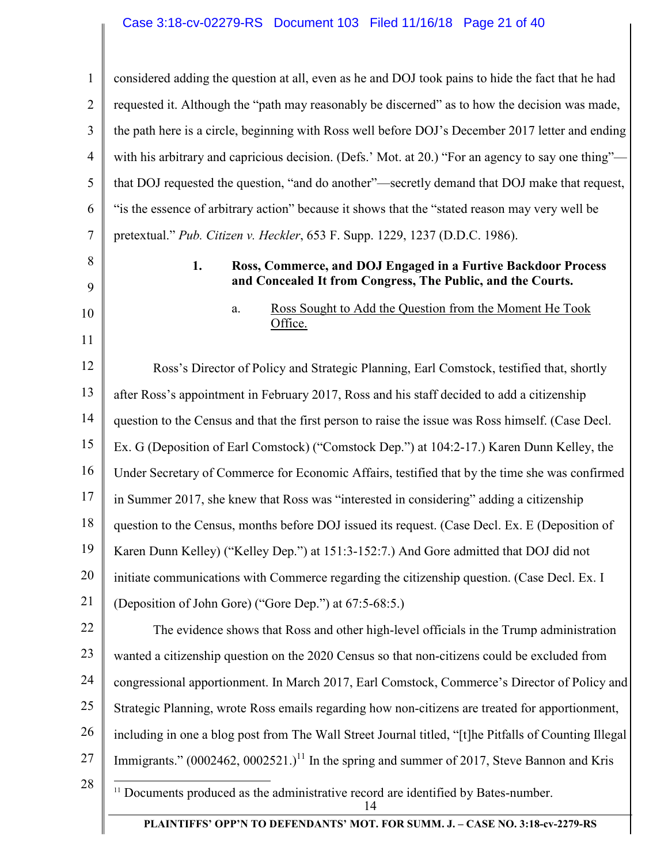1 2 3 4 5 6 7 8 9 10 11 12 13 14 15 16 17 18 19 20 21 22 23 24 25 26 27 28 14 **PLAINTIFFS' OPP'N TO DEFENDANTS' MOT. FOR SUMM. J. – CASE NO. 3:18-cv-2279-RS** considered adding the question at all, even as he and DOJ took pains to hide the fact that he had requested it. Although the "path may reasonably be discerned" as to how the decision was made, the path here is a circle, beginning with Ross well before DOJ's December 2017 letter and ending with his arbitrary and capricious decision. (Defs.' Mot. at 20.) "For an agency to say one thing"that DOJ requested the question, "and do another"—secretly demand that DOJ make that request, "is the essence of arbitrary action" because it shows that the "stated reason may very well be pretextual." *Pub. Citizen v. Heckler*, 653 F. Supp. 1229, 1237 (D.D.C. 1986). **1. Ross, Commerce, and DOJ Engaged in a Furtive Backdoor Process and Concealed It from Congress, The Public, and the Courts.**  a. Ross Sought to Add the Question from the Moment He Took Office. Ross's Director of Policy and Strategic Planning, Earl Comstock, testified that, shortly after Ross's appointment in February 2017, Ross and his staff decided to add a citizenship question to the Census and that the first person to raise the issue was Ross himself. (Case Decl. Ex. G (Deposition of Earl Comstock) ("Comstock Dep.") at 104:2-17.) Karen Dunn Kelley, the Under Secretary of Commerce for Economic Affairs, testified that by the time she was confirmed in Summer 2017, she knew that Ross was "interested in considering" adding a citizenship question to the Census, months before DOJ issued its request. (Case Decl. Ex. E (Deposition of Karen Dunn Kelley) ("Kelley Dep.") at 151:3-152:7.) And Gore admitted that DOJ did not initiate communications with Commerce regarding the citizenship question. (Case Decl. Ex. I (Deposition of John Gore) ("Gore Dep.") at 67:5-68:5.) The evidence shows that Ross and other high-level officials in the Trump administration wanted a citizenship question on the 2020 Census so that non-citizens could be excluded from congressional apportionment. In March 2017, Earl Comstock, Commerce's Director of Policy and Strategic Planning, wrote Ross emails regarding how non-citizens are treated for apportionment, including in one a blog post from The Wall Street Journal titled, "[t]he Pitfalls of Counting Illegal Immigrants."  $(0.002462, 0.002521.)^{11}$  In the spring and summer of 2017, Steve Bannon and Kris  $\overline{a}$ <sup>11</sup> Documents produced as the administrative record are identified by Bates-number.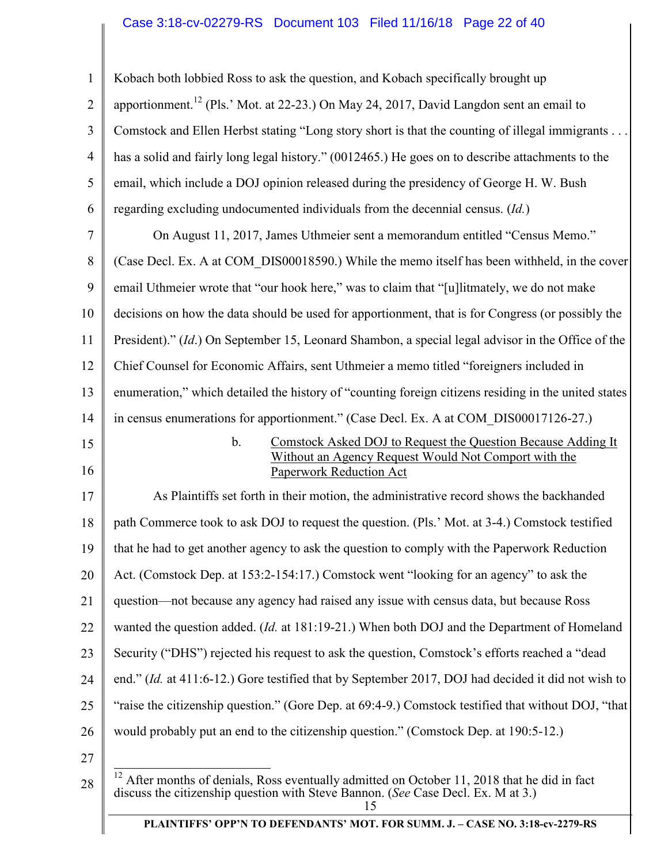# Case 3:18-cv-02279-RS Document 103 Filed 11/16/18 Page 22 of 40

| 1              | Kobach both lobbied Ross to ask the question, and Kobach specifically brought up                                                                                                          |
|----------------|-------------------------------------------------------------------------------------------------------------------------------------------------------------------------------------------|
| 2              | apportionment. <sup>12</sup> (Pls.' Mot. at 22-23.) On May 24, 2017, David Langdon sent an email to                                                                                       |
| 3              | Comstock and Ellen Herbst stating "Long story short is that the counting of illegal immigrants                                                                                            |
| $\overline{4}$ | has a solid and fairly long legal history." (0012465.) He goes on to describe attachments to the                                                                                          |
| 5              | email, which include a DOJ opinion released during the presidency of George H. W. Bush                                                                                                    |
| 6              | regarding excluding undocumented individuals from the decennial census. (Id.)                                                                                                             |
| 7              | On August 11, 2017, James Uthmeier sent a memorandum entitled "Census Memo."                                                                                                              |
| 8              | (Case Decl. Ex. A at COM DIS00018590.) While the memo itself has been withheld, in the cover                                                                                              |
| 9              | email Uthmeier wrote that "our hook here," was to claim that "[u]litmately, we do not make                                                                                                |
| 10             | decisions on how the data should be used for apportionment, that is for Congress (or possibly the                                                                                         |
| 11             | President)." (Id.) On September 15, Leonard Shambon, a special legal advisor in the Office of the                                                                                         |
| 12             | Chief Counsel for Economic Affairs, sent Uthmeier a memo titled "foreigners included in                                                                                                   |
| 13             | enumeration," which detailed the history of "counting foreign citizens residing in the united states                                                                                      |
| 14             | in census enumerations for apportionment." (Case Decl. Ex. A at COM DIS00017126-27.)                                                                                                      |
| 15<br>16       | Comstock Asked DOJ to Request the Question Because Adding It<br>$\mathbf{b}$ .<br>Without an Agency Request Would Not Comport with the<br><b>Paperwork Reduction Act</b>                  |
| 17             | As Plaintiffs set forth in their motion, the administrative record shows the backhanded                                                                                                   |
| 18             | path Commerce took to ask DOJ to request the question. (Pls.' Mot. at 3-4.) Comstock testified                                                                                            |
| 19             | that he had to get another agency to ask the question to comply with the Paperwork Reduction                                                                                              |
| 20             | Act. (Comstock Dep. at 153:2-154:17.) Comstock went "looking for an agency" to ask the                                                                                                    |
| 21             | question—not because any agency had raised any issue with census data, but because Ross                                                                                                   |
| 22             | wanted the question added. ( <i>Id.</i> at 181:19-21.) When both DOJ and the Department of Homeland                                                                                       |
| 23             | Security ("DHS") rejected his request to ask the question, Comstock's efforts reached a "dead                                                                                             |
| 24             | end." (Id. at 411:6-12.) Gore testified that by September 2017, DOJ had decided it did not wish to                                                                                        |
| 25             | "raise the citizenship question." (Gore Dep. at 69:4-9.) Comstock testified that without DOJ, "that                                                                                       |
| 26             | would probably put an end to the citizenship question." (Comstock Dep. at 190:5-12.)                                                                                                      |
| 27<br>28       | 12<br>After months of denials, Ross eventually admitted on October 11, 2018 that he did in fact<br>discuss the citizenship question with Steve Bannon. (See Case Decl. Ex. M at 3.)<br>15 |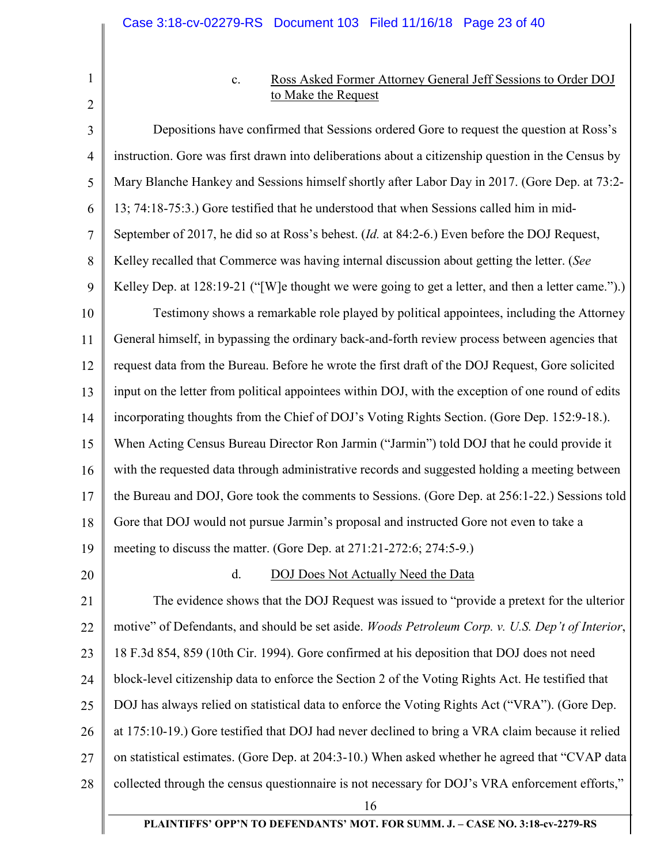1 2

# c. Ross Asked Former Attorney General Jeff Sessions to Order DOJ to Make the Request

3 4 5 6 7 8 9 10 11 12 13 14 15 16 17 18 19 20 21 22 23 24 25 26 27 28 16 Depositions have confirmed that Sessions ordered Gore to request the question at Ross's instruction. Gore was first drawn into deliberations about a citizenship question in the Census by Mary Blanche Hankey and Sessions himself shortly after Labor Day in 2017. (Gore Dep. at 73:2- 13; 74:18-75:3.) Gore testified that he understood that when Sessions called him in mid-September of 2017, he did so at Ross's behest. (*Id.* at 84:2-6.) Even before the DOJ Request, Kelley recalled that Commerce was having internal discussion about getting the letter. (*See* Kelley Dep. at 128:19-21 ("[W]e thought we were going to get a letter, and then a letter came.").) Testimony shows a remarkable role played by political appointees, including the Attorney General himself, in bypassing the ordinary back-and-forth review process between agencies that request data from the Bureau. Before he wrote the first draft of the DOJ Request, Gore solicited input on the letter from political appointees within DOJ, with the exception of one round of edits incorporating thoughts from the Chief of DOJ's Voting Rights Section. (Gore Dep. 152:9-18.). When Acting Census Bureau Director Ron Jarmin ("Jarmin") told DOJ that he could provide it with the requested data through administrative records and suggested holding a meeting between the Bureau and DOJ, Gore took the comments to Sessions. (Gore Dep. at 256:1-22.) Sessions told Gore that DOJ would not pursue Jarmin's proposal and instructed Gore not even to take a meeting to discuss the matter. (Gore Dep. at 271:21-272:6; 274:5-9.) d. DOJ Does Not Actually Need the Data The evidence shows that the DOJ Request was issued to "provide a pretext for the ulterior motive" of Defendants, and should be set aside. *Woods Petroleum Corp. v. U.S. Dep't of Interior*, 18 F.3d 854, 859 (10th Cir. 1994). Gore confirmed at his deposition that DOJ does not need block-level citizenship data to enforce the Section 2 of the Voting Rights Act. He testified that DOJ has always relied on statistical data to enforce the Voting Rights Act ("VRA"). (Gore Dep. at 175:10-19.) Gore testified that DOJ had never declined to bring a VRA claim because it relied on statistical estimates. (Gore Dep. at 204:3-10.) When asked whether he agreed that "CVAP data collected through the census questionnaire is not necessary for DOJ's VRA enforcement efforts,"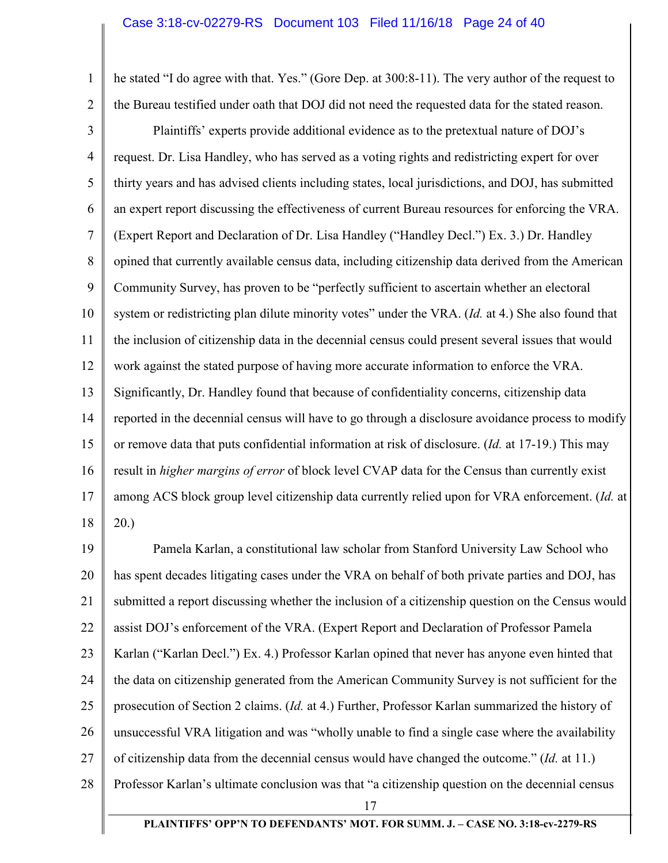1

2

he stated "I do agree with that. Yes." (Gore Dep. at 300:8-11). The very author of the request to the Bureau testified under oath that DOJ did not need the requested data for the stated reason.

3 4 5 6 7 8 9 10 11 12 13 14 15 16 17 18 Plaintiffs' experts provide additional evidence as to the pretextual nature of DOJ's request. Dr. Lisa Handley, who has served as a voting rights and redistricting expert for over thirty years and has advised clients including states, local jurisdictions, and DOJ, has submitted an expert report discussing the effectiveness of current Bureau resources for enforcing the VRA. (Expert Report and Declaration of Dr. Lisa Handley ("Handley Decl.") Ex. 3.) Dr. Handley opined that currently available census data, including citizenship data derived from the American Community Survey, has proven to be "perfectly sufficient to ascertain whether an electoral system or redistricting plan dilute minority votes" under the VRA. (*Id.* at 4.) She also found that the inclusion of citizenship data in the decennial census could present several issues that would work against the stated purpose of having more accurate information to enforce the VRA. Significantly, Dr. Handley found that because of confidentiality concerns, citizenship data reported in the decennial census will have to go through a disclosure avoidance process to modify or remove data that puts confidential information at risk of disclosure. (*Id.* at 17-19.) This may result in *higher margins of error* of block level CVAP data for the Census than currently exist among ACS block group level citizenship data currently relied upon for VRA enforcement. (*Id.* at 20.)

19 20 21 22 23 24 25 26 27 28 Pamela Karlan, a constitutional law scholar from Stanford University Law School who has spent decades litigating cases under the VRA on behalf of both private parties and DOJ, has submitted a report discussing whether the inclusion of a citizenship question on the Census would assist DOJ's enforcement of the VRA. (Expert Report and Declaration of Professor Pamela Karlan ("Karlan Decl.") Ex. 4.) Professor Karlan opined that never has anyone even hinted that the data on citizenship generated from the American Community Survey is not sufficient for the prosecution of Section 2 claims. (*Id.* at 4.) Further, Professor Karlan summarized the history of unsuccessful VRA litigation and was "wholly unable to find a single case where the availability of citizenship data from the decennial census would have changed the outcome." (*Id.* at 11.) Professor Karlan's ultimate conclusion was that "a citizenship question on the decennial census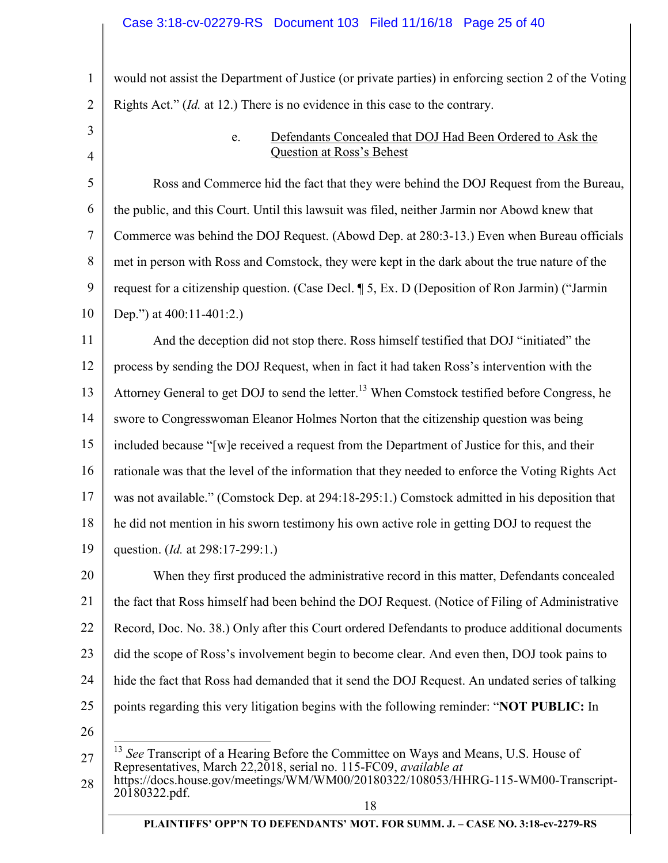1 2 3 4 5 6 7 8 9 10 11 12 13 14 15 16 17 18 19 20 21 22 23 24 25 26 27 would not assist the Department of Justice (or private parties) in enforcing section 2 of the Voting Rights Act." (*Id.* at 12.) There is no evidence in this case to the contrary. e. Defendants Concealed that DOJ Had Been Ordered to Ask the Question at Ross's Behest Ross and Commerce hid the fact that they were behind the DOJ Request from the Bureau, the public, and this Court. Until this lawsuit was filed, neither Jarmin nor Abowd knew that Commerce was behind the DOJ Request. (Abowd Dep. at 280:3-13.) Even when Bureau officials met in person with Ross and Comstock, they were kept in the dark about the true nature of the request for a citizenship question. (Case Decl. ¶ 5, Ex. D (Deposition of Ron Jarmin) ("Jarmin Dep.") at 400:11-401:2. And the deception did not stop there. Ross himself testified that DOJ "initiated" the process by sending the DOJ Request, when in fact it had taken Ross's intervention with the Attorney General to get DOJ to send the letter.<sup>13</sup> When Comstock testified before Congress, he swore to Congresswoman Eleanor Holmes Norton that the citizenship question was being included because "[w]e received a request from the Department of Justice for this, and their rationale was that the level of the information that they needed to enforce the Voting Rights Act was not available." (Comstock Dep. at 294:18-295:1.) Comstock admitted in his deposition that he did not mention in his sworn testimony his own active role in getting DOJ to request the question. (*Id.* at 298:17-299:1.) When they first produced the administrative record in this matter, Defendants concealed the fact that Ross himself had been behind the DOJ Request. (Notice of Filing of Administrative Record, Doc. No. 38.) Only after this Court ordered Defendants to produce additional documents did the scope of Ross's involvement begin to become clear. And even then, DOJ took pains to hide the fact that Ross had demanded that it send the DOJ Request. An undated series of talking points regarding this very litigation begins with the following reminder: "**NOT PUBLIC:** In  $\overline{a}$ See Transcript of a Hearing Before the Committee on Ways and Means, U.S. House of Representatives, March 22,2018, serial no. 115-FC09, *available at*

<sup>28</sup>  https://docs.house.gov/meetings/WM/WM00/20180322/108053/HHRG-115-WM00-Transcript-20180322.pdf.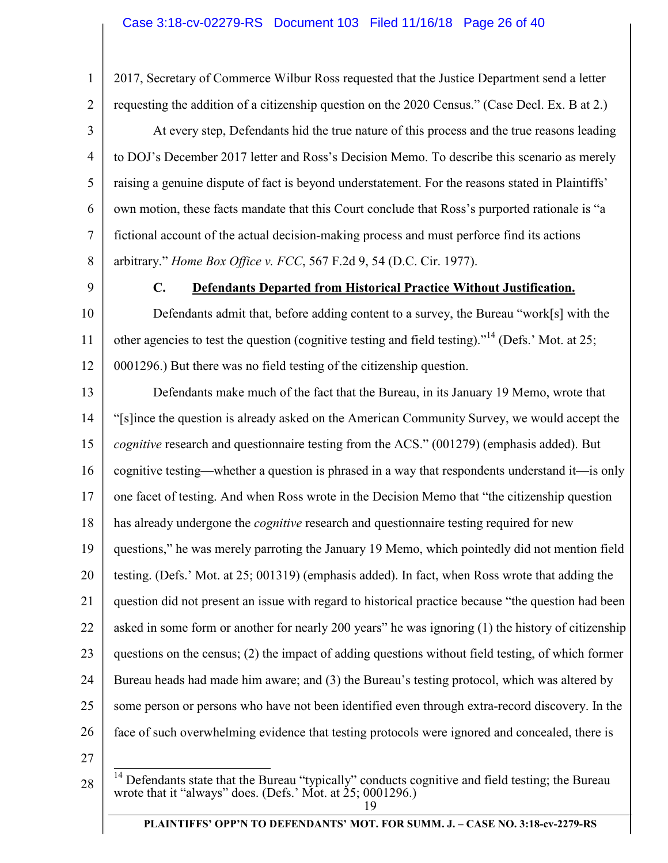2017, Secretary of Commerce Wilbur Ross requested that the Justice Department send a letter requesting the addition of a citizenship question on the 2020 Census." (Case Decl. Ex. B at 2.)

3 4 5 6 7 8 At every step, Defendants hid the true nature of this process and the true reasons leading to DOJ's December 2017 letter and Ross's Decision Memo. To describe this scenario as merely raising a genuine dispute of fact is beyond understatement. For the reasons stated in Plaintiffs' own motion, these facts mandate that this Court conclude that Ross's purported rationale is "a fictional account of the actual decision-making process and must perforce find its actions arbitrary." *Home Box Office v. FCC*, 567 F.2d 9, 54 (D.C. Cir. 1977).

9

1

2

# **C. Defendants Departed from Historical Practice Without Justification.**

10 11 12 Defendants admit that, before adding content to a survey, the Bureau "work[s] with the other agencies to test the question (cognitive testing and field testing)."<sup>14</sup> (Defs.' Mot. at 25; 0001296.) But there was no field testing of the citizenship question.

13 14 15 16 17 18 19 20 21 22 23 24 25 26 Defendants make much of the fact that the Bureau, in its January 19 Memo, wrote that "[s]ince the question is already asked on the American Community Survey, we would accept the *cognitive* research and questionnaire testing from the ACS." (001279) (emphasis added). But cognitive testing—whether a question is phrased in a way that respondents understand it—is only one facet of testing. And when Ross wrote in the Decision Memo that "the citizenship question has already undergone the *cognitive* research and questionnaire testing required for new questions," he was merely parroting the January 19 Memo, which pointedly did not mention field testing. (Defs.' Mot. at 25; 001319) (emphasis added). In fact, when Ross wrote that adding the question did not present an issue with regard to historical practice because "the question had been asked in some form or another for nearly 200 years" he was ignoring (1) the history of citizenship questions on the census; (2) the impact of adding questions without field testing, of which former Bureau heads had made him aware; and (3) the Bureau's testing protocol, which was altered by some person or persons who have not been identified even through extra-record discovery. In the face of such overwhelming evidence that testing protocols were ignored and concealed, there is

27

28

 $\overline{a}$  $14$  Defendants state that the Bureau "typically" conducts cognitive and field testing; the Bureau wrote that it "always" does. (Defs.' Mot. at 25; 0001296.)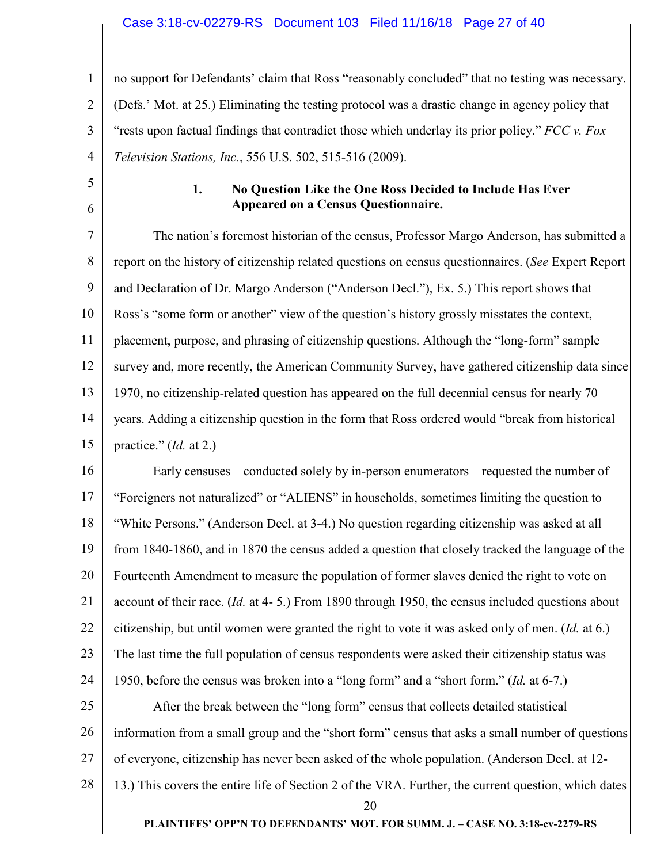#### Case 3:18-cv-02279-RS Document 103 Filed 11/16/18 Page 27 of 40

1 2 3 4 no support for Defendants' claim that Ross "reasonably concluded" that no testing was necessary. (Defs.' Mot. at 25.) Eliminating the testing protocol was a drastic change in agency policy that "rests upon factual findings that contradict those which underlay its prior policy." *FCC v. Fox Television Stations, Inc.*, 556 U.S. 502, 515-516 (2009).

5

6

## **1. No Question Like the One Ross Decided to Include Has Ever Appeared on a Census Questionnaire.**

7 8 9 10 11 12 13 14 15 The nation's foremost historian of the census, Professor Margo Anderson, has submitted a report on the history of citizenship related questions on census questionnaires. (*See* Expert Report and Declaration of Dr. Margo Anderson ("Anderson Decl."), Ex. 5.) This report shows that Ross's "some form or another" view of the question's history grossly misstates the context, placement, purpose, and phrasing of citizenship questions. Although the "long-form" sample survey and, more recently, the American Community Survey, have gathered citizenship data since 1970, no citizenship-related question has appeared on the full decennial census for nearly 70 years. Adding a citizenship question in the form that Ross ordered would "break from historical practice." (*Id.* at 2.)

16 17 18 19 20 21 22 23 24 25 26 27 Early censuses—conducted solely by in-person enumerators—requested the number of "Foreigners not naturalized" or "ALIENS" in households, sometimes limiting the question to "White Persons." (Anderson Decl. at 3-4.) No question regarding citizenship was asked at all from 1840-1860, and in 1870 the census added a question that closely tracked the language of the Fourteenth Amendment to measure the population of former slaves denied the right to vote on account of their race. (*Id.* at 4- 5.) From 1890 through 1950, the census included questions about citizenship, but until women were granted the right to vote it was asked only of men. (*Id.* at 6.) The last time the full population of census respondents were asked their citizenship status was 1950, before the census was broken into a "long form" and a "short form." (*Id.* at 6-7.) After the break between the "long form" census that collects detailed statistical information from a small group and the "short form" census that asks a small number of questions of everyone, citizenship has never been asked of the whole population. (Anderson Decl. at 12-

28 13.) This covers the entire life of Section 2 of the VRA. Further, the current question, which dates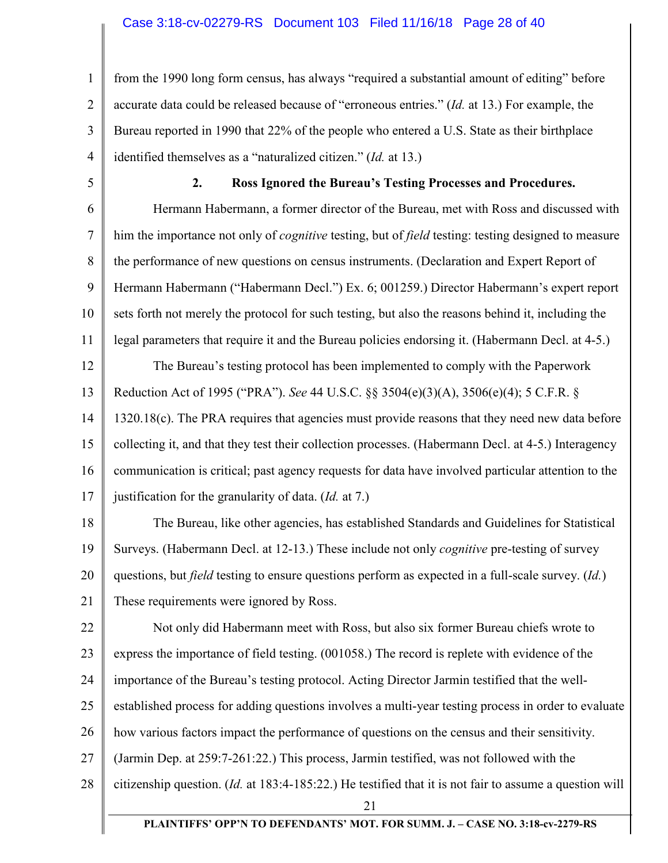1 2 3 4 from the 1990 long form census, has always "required a substantial amount of editing" before accurate data could be released because of "erroneous entries." (*Id.* at 13.) For example, the Bureau reported in 1990 that 22% of the people who entered a U.S. State as their birthplace identified themselves as a "naturalized citizen." (*Id.* at 13.)

5

## **2. Ross Ignored the Bureau's Testing Processes and Procedures.**

6 7 8 9 10 11 12 13 14 15 16 Hermann Habermann, a former director of the Bureau, met with Ross and discussed with him the importance not only of *cognitive* testing, but of *field* testing: testing designed to measure the performance of new questions on census instruments. (Declaration and Expert Report of Hermann Habermann ("Habermann Decl.") Ex. 6; 001259.) Director Habermann's expert report sets forth not merely the protocol for such testing, but also the reasons behind it, including the legal parameters that require it and the Bureau policies endorsing it. (Habermann Decl. at 4-5.) The Bureau's testing protocol has been implemented to comply with the Paperwork Reduction Act of 1995 ("PRA"). *See* 44 U.S.C. §§ 3504(e)(3)(A), 3506(e)(4); 5 C.F.R. § 1320.18(c). The PRA requires that agencies must provide reasons that they need new data before collecting it, and that they test their collection processes. (Habermann Decl. at 4-5.) Interagency communication is critical; past agency requests for data have involved particular attention to the

17 justification for the granularity of data. (*Id.* at 7.)

18 19 20 21 The Bureau, like other agencies, has established Standards and Guidelines for Statistical Surveys. (Habermann Decl. at 12-13.) These include not only *cognitive* pre-testing of survey questions, but *field* testing to ensure questions perform as expected in a full-scale survey. (*Id.*) These requirements were ignored by Ross.

22 23 24 25 26 Not only did Habermann meet with Ross, but also six former Bureau chiefs wrote to express the importance of field testing. (001058.) The record is replete with evidence of the importance of the Bureau's testing protocol. Acting Director Jarmin testified that the wellestablished process for adding questions involves a multi-year testing process in order to evaluate how various factors impact the performance of questions on the census and their sensitivity.

27 (Jarmin Dep. at 259:7-261:22.) This process, Jarmin testified, was not followed with the

28 citizenship question. (*Id.* at 183:4-185:22.) He testified that it is not fair to assume a question will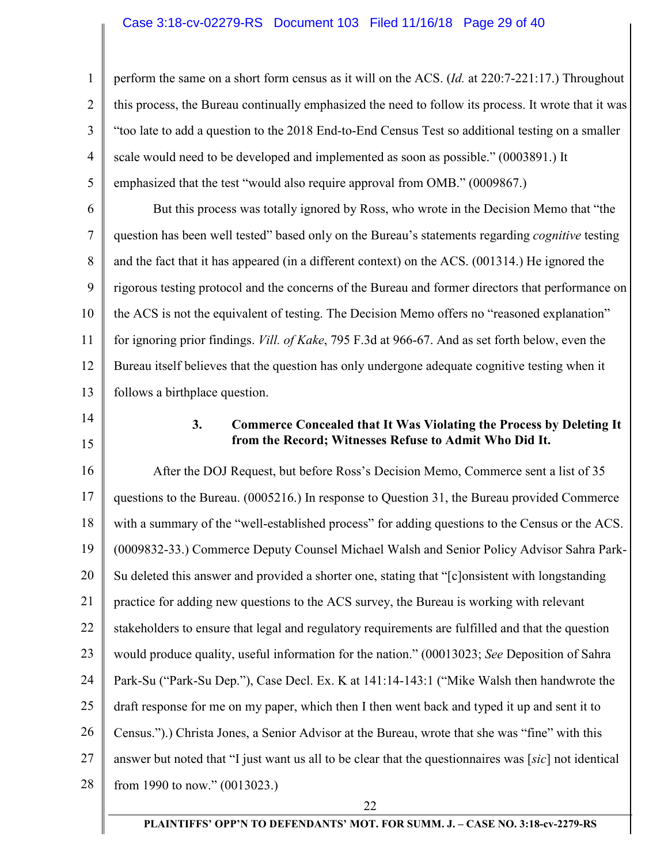1 2 3 4 5 perform the same on a short form census as it will on the ACS. (*Id.* at 220:7-221:17.) Throughout this process, the Bureau continually emphasized the need to follow its process. It wrote that it was "too late to add a question to the 2018 End-to-End Census Test so additional testing on a smaller scale would need to be developed and implemented as soon as possible." (0003891.) It emphasized that the test "would also require approval from OMB." (0009867.)

6 7 8 9 10 11 12 13 But this process was totally ignored by Ross, who wrote in the Decision Memo that "the question has been well tested" based only on the Bureau's statements regarding *cognitive* testing and the fact that it has appeared (in a different context) on the ACS. (001314.) He ignored the rigorous testing protocol and the concerns of the Bureau and former directors that performance on the ACS is not the equivalent of testing. The Decision Memo offers no "reasoned explanation" for ignoring prior findings. *Vill. of Kake*, 795 F.3d at 966-67. And as set forth below, even the Bureau itself believes that the question has only undergone adequate cognitive testing when it follows a birthplace question.

- 14
- 15

# **3. Commerce Concealed that It Was Violating the Process by Deleting It from the Record; Witnesses Refuse to Admit Who Did It.**

16 17 18 19 20 21 22 23 24 25 26 27 28 After the DOJ Request, but before Ross's Decision Memo, Commerce sent a list of 35 questions to the Bureau. (0005216.) In response to Question 31, the Bureau provided Commerce with a summary of the "well-established process" for adding questions to the Census or the ACS. (0009832-33.) Commerce Deputy Counsel Michael Walsh and Senior Policy Advisor Sahra Park-Su deleted this answer and provided a shorter one, stating that "[c]onsistent with longstanding practice for adding new questions to the ACS survey, the Bureau is working with relevant stakeholders to ensure that legal and regulatory requirements are fulfilled and that the question would produce quality, useful information for the nation." (00013023; *See* Deposition of Sahra Park-Su ("Park-Su Dep."), Case Decl. Ex. K at 141:14-143:1 ("Mike Walsh then handwrote the draft response for me on my paper, which then I then went back and typed it up and sent it to Census.").) Christa Jones, a Senior Advisor at the Bureau, wrote that she was "fine" with this answer but noted that "I just want us all to be clear that the questionnaires was [*sic*] not identical from 1990 to now." (0013023.)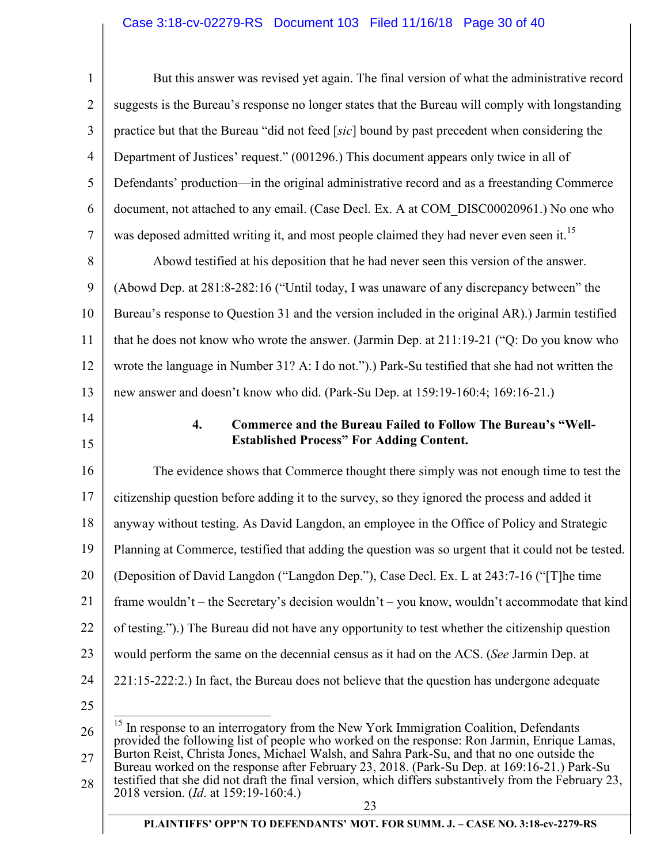# Case 3:18-cv-02279-RS Document 103 Filed 11/16/18 Page 30 of 40

| $\mathbf{1}$   | But this answer was revised yet again. The final version of what the administrative record                                                                                                                                                                                                         |
|----------------|----------------------------------------------------------------------------------------------------------------------------------------------------------------------------------------------------------------------------------------------------------------------------------------------------|
| $\overline{2}$ | suggests is the Bureau's response no longer states that the Bureau will comply with longstanding                                                                                                                                                                                                   |
| 3              | practice but that the Bureau "did not feed [sic] bound by past precedent when considering the                                                                                                                                                                                                      |
| $\overline{4}$ | Department of Justices' request." (001296.) This document appears only twice in all of                                                                                                                                                                                                             |
| 5              | Defendants' production—in the original administrative record and as a freestanding Commerce                                                                                                                                                                                                        |
| 6              | document, not attached to any email. (Case Decl. Ex. A at COM DISC00020961.) No one who                                                                                                                                                                                                            |
| 7              | was deposed admitted writing it, and most people claimed they had never even seen it. <sup>15</sup>                                                                                                                                                                                                |
| 8              | Abowd testified at his deposition that he had never seen this version of the answer.                                                                                                                                                                                                               |
| 9              | (Abowd Dep. at 281:8-282:16 ("Until today, I was unaware of any discrepancy between" the                                                                                                                                                                                                           |
| 10             | Bureau's response to Question 31 and the version included in the original AR).) Jarmin testified                                                                                                                                                                                                   |
| 11             | that he does not know who wrote the answer. (Jarmin Dep. at 211:19-21 ("Q: Do you know who                                                                                                                                                                                                         |
| 12             | wrote the language in Number 31? A: I do not.").) Park-Su testified that she had not written the                                                                                                                                                                                                   |
| 13             | new answer and doesn't know who did. (Park-Su Dep. at 159:19-160:4; 169:16-21.)                                                                                                                                                                                                                    |
| 14<br>15       | Commerce and the Bureau Failed to Follow The Bureau's "Well-<br>$\overline{4}$ .<br><b>Established Process" For Adding Content.</b>                                                                                                                                                                |
| 16             | The evidence shows that Commerce thought there simply was not enough time to test the                                                                                                                                                                                                              |
| 17             | citizenship question before adding it to the survey, so they ignored the process and added it                                                                                                                                                                                                      |
| 18             | anyway without testing. As David Langdon, an employee in the Office of Policy and Strategic                                                                                                                                                                                                        |
| 19             | Planning at Commerce, testified that adding the question was so urgent that it could not be tested.                                                                                                                                                                                                |
| 20             | (Deposition of David Langdon ("Langdon Dep."), Case Decl. Ex. L at 243:7-16 ("The time                                                                                                                                                                                                             |
| 21             | frame wouldn't – the Secretary's decision wouldn't – you know, wouldn't accommodate that kind                                                                                                                                                                                                      |
| 22             | of testing.").) The Bureau did not have any opportunity to test whether the citizenship question                                                                                                                                                                                                   |
| 23             | would perform the same on the decennial census as it had on the ACS. (See Jarmin Dep. at                                                                                                                                                                                                           |
| 24             | 221:15-222:2.) In fact, the Bureau does not believe that the question has undergone adequate                                                                                                                                                                                                       |
| 25             |                                                                                                                                                                                                                                                                                                    |
| 26             | <sup>15</sup> In response to an interrogatory from the New York Immigration Coalition, Defendants<br>provided the following list of people who worked on the response: Ron Jarmin, Enrique Lamas,                                                                                                  |
| 27<br>28       | Burton Reist, Christa Jones, Michael Walsh, and Sahra Park-Su, and that no one outside the<br>Bureau worked on the response after February 23, 2018. (Park-Su Dep. at 169:16-21.) Park-Su<br>testified that she did not draft the final version, which differs substantively from the February 23, |
|                | 2018 version. (Id. at 159:19-160:4.)<br>23                                                                                                                                                                                                                                                         |
|                | PLAINTIFFS' OPP'N TO DEFENDANTS' MOT. FOR SUMM. J. - CASE NO. 3:18-cv-2279-RS                                                                                                                                                                                                                      |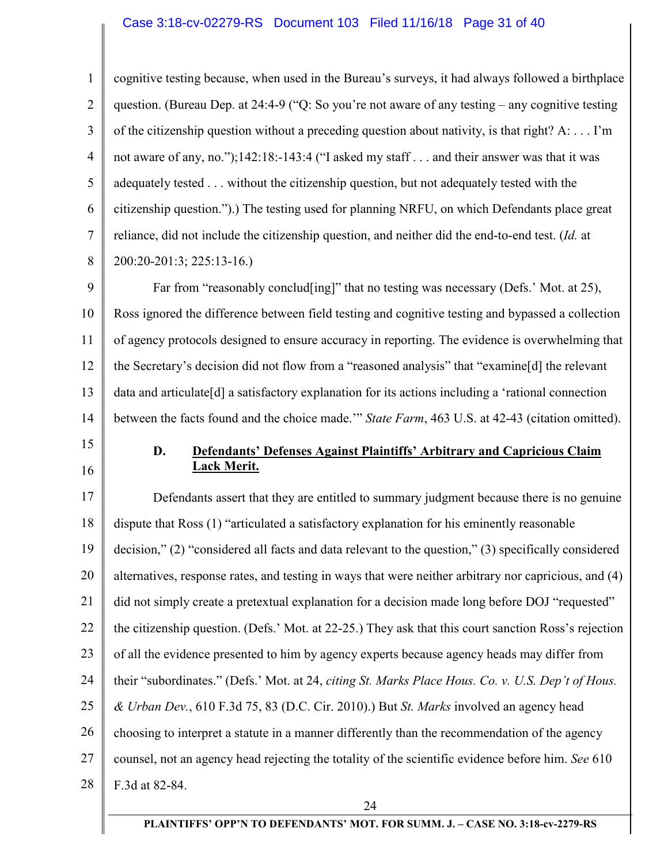# Case 3:18-cv-02279-RS Document 103 Filed 11/16/18 Page 31 of 40

| 1              | cognitive testing because, when used in the Bureau's surveys, it had always followed a birthplace              |
|----------------|----------------------------------------------------------------------------------------------------------------|
| $\overline{2}$ | question. (Bureau Dep. at 24:4-9 ("Q: So you're not aware of any testing – any cognitive testing               |
| 3              | of the citizenship question without a preceding question about nativity, is that right? A:  I'm                |
| $\overline{4}$ | not aware of any, no.");142:18:-143:4 ("I asked my staff and their answer was that it was                      |
| 5              | adequately tested without the citizenship question, but not adequately tested with the                         |
| 6              | citizenship question.").) The testing used for planning NRFU, on which Defendants place great                  |
| $\tau$         | reliance, did not include the citizenship question, and neither did the end-to-end test. (Id. at               |
| 8              | 200:20-201:3; 225:13-16.)                                                                                      |
| 9              | Far from "reasonably conclud[ing]" that no testing was necessary (Defs.' Mot. at 25),                          |
| 10             | Ross ignored the difference between field testing and cognitive testing and bypassed a collection              |
| 11             | of agency protocols designed to ensure accuracy in reporting. The evidence is overwhelming that                |
| 12             | the Secretary's decision did not flow from a "reasoned analysis" that "examine[d] the relevant                 |
| 13             | data and articulate <sup>[d]</sup> a satisfactory explanation for its actions including a 'rational connection |
| 14             | between the facts found and the choice made." State Farm, 463 U.S. at 42-43 (citation omitted).                |
|                |                                                                                                                |
| 15             |                                                                                                                |
| 16             | D.<br><b>Defendants' Defenses Against Plaintiffs' Arbitrary and Capricious Claim</b><br><u> Lack Merit.</u>    |
| 17             | Defendants assert that they are entitled to summary judgment because there is no genuine                       |
| 18             | dispute that Ross (1) "articulated a satisfactory explanation for his eminently reasonable                     |
| 19             | decision," (2) "considered all facts and data relevant to the question," (3) specifically considered           |
| 20             | alternatives, response rates, and testing in ways that were neither arbitrary nor capricious, and (4)          |
| 21             | did not simply create a pretextual explanation for a decision made long before DOJ "requested"                 |
| 22             | the citizenship question. (Defs.' Mot. at 22-25.) They ask that this court sanction Ross's rejection           |
| 23             | of all the evidence presented to him by agency experts because agency heads may differ from                    |
| 24             | their "subordinates." (Defs.' Mot. at 24, citing St. Marks Place Hous. Co. v. U.S. Dep't of Hous.              |
| 25             | & Urban Dev., 610 F.3d 75, 83 (D.C. Cir. 2010).) But St. Marks involved an agency head                         |
| 26             | choosing to interpret a statute in a manner differently than the recommendation of the agency                  |
| 27             | counsel, not an agency head rejecting the totality of the scientific evidence before him. See 610              |
| 28             | F.3d at 82-84.                                                                                                 |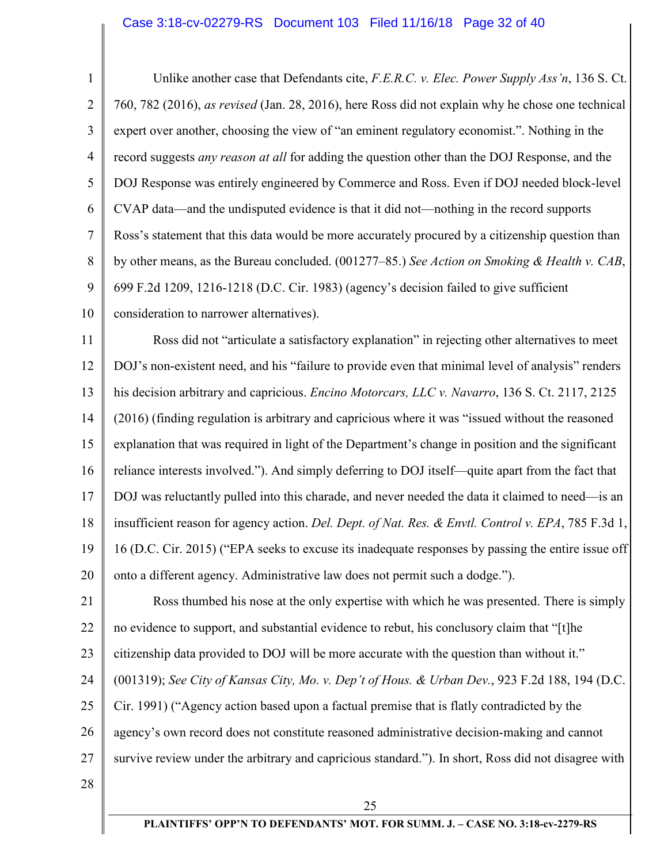1 2 3 4 5 6 7 8 9 10 11 12 13 14 15 16 17 18 19 20 21 22 23 24 25 26 27 28 25 Unlike another case that Defendants cite, *F.E.R.C. v. Elec. Power Supply Ass'n*, 136 S. Ct. 760, 782 (2016), *as revised* (Jan. 28, 2016), here Ross did not explain why he chose one technical expert over another, choosing the view of "an eminent regulatory economist.". Nothing in the record suggests *any reason at all* for adding the question other than the DOJ Response, and the DOJ Response was entirely engineered by Commerce and Ross. Even if DOJ needed block-level CVAP data—and the undisputed evidence is that it did not—nothing in the record supports Ross's statement that this data would be more accurately procured by a citizenship question than by other means, as the Bureau concluded. (001277–85.) *See Action on Smoking & Health v. CAB*, 699 F.2d 1209, 1216-1218 (D.C. Cir. 1983) (agency's decision failed to give sufficient consideration to narrower alternatives). Ross did not "articulate a satisfactory explanation" in rejecting other alternatives to meet DOJ's non-existent need, and his "failure to provide even that minimal level of analysis" renders his decision arbitrary and capricious. *Encino Motorcars, LLC v. Navarro*, 136 S. Ct. 2117, 2125 (2016) (finding regulation is arbitrary and capricious where it was "issued without the reasoned explanation that was required in light of the Department's change in position and the significant reliance interests involved."). And simply deferring to DOJ itself—quite apart from the fact that DOJ was reluctantly pulled into this charade, and never needed the data it claimed to need—is an insufficient reason for agency action. *Del. Dept. of Nat. Res. & Envtl. Control v. EPA*, 785 F.3d 1, 16 (D.C. Cir. 2015) ("EPA seeks to excuse its inadequate responses by passing the entire issue off onto a different agency. Administrative law does not permit such a dodge."). Ross thumbed his nose at the only expertise with which he was presented. There is simply no evidence to support, and substantial evidence to rebut, his conclusory claim that "[t]he citizenship data provided to DOJ will be more accurate with the question than without it." (001319); *See City of Kansas City, Mo. v. Dep't of Hous. & Urban Dev.*, 923 F.2d 188, 194 (D.C. Cir. 1991) ("Agency action based upon a factual premise that is flatly contradicted by the agency's own record does not constitute reasoned administrative decision-making and cannot survive review under the arbitrary and capricious standard."). In short, Ross did not disagree with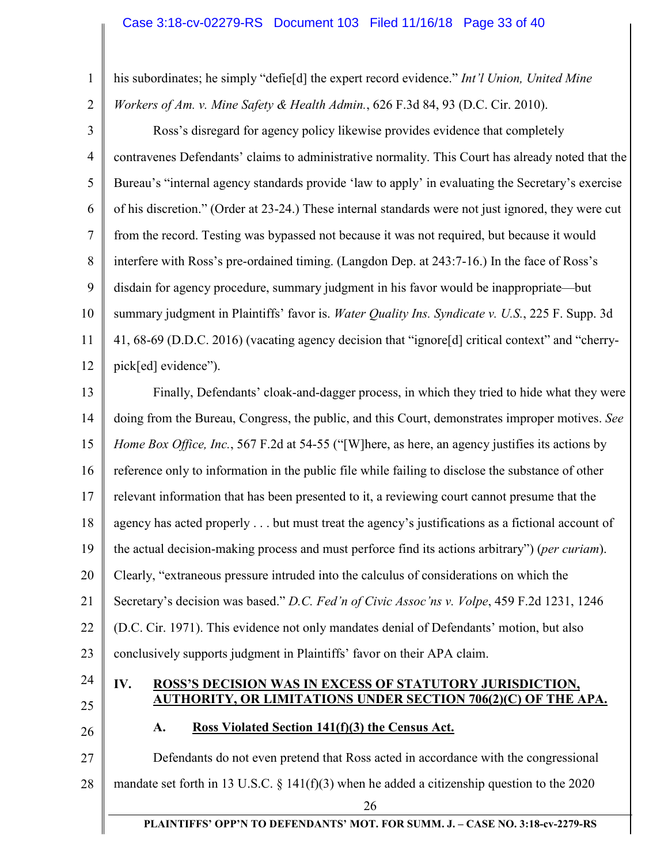1 his subordinates; he simply "defie[d] the expert record evidence." *Int'l Union, United Mine* 

2 *Workers of Am. v. Mine Safety & Health Admin.*, 626 F.3d 84, 93 (D.C. Cir. 2010).

3 4 5 6 7 8 9 10 11 12 Ross's disregard for agency policy likewise provides evidence that completely contravenes Defendants' claims to administrative normality. This Court has already noted that the Bureau's "internal agency standards provide 'law to apply' in evaluating the Secretary's exercise of his discretion." (Order at 23-24.) These internal standards were not just ignored, they were cut from the record. Testing was bypassed not because it was not required, but because it would interfere with Ross's pre-ordained timing. (Langdon Dep. at 243:7-16.) In the face of Ross's disdain for agency procedure, summary judgment in his favor would be inappropriate—but summary judgment in Plaintiffs' favor is. *Water Quality Ins. Syndicate v. U.S.*, 225 F. Supp. 3d 41, 68-69 (D.D.C. 2016) (vacating agency decision that "ignore[d] critical context" and "cherrypick[ed] evidence").

13 14 15 16 17 18 19 20 21 22 23 Finally, Defendants' cloak-and-dagger process, in which they tried to hide what they were doing from the Bureau, Congress, the public, and this Court, demonstrates improper motives. *See Home Box Office, Inc.*, 567 F.2d at 54-55 ("[W]here, as here, an agency justifies its actions by reference only to information in the public file while failing to disclose the substance of other relevant information that has been presented to it, a reviewing court cannot presume that the agency has acted properly . . . but must treat the agency's justifications as a fictional account of the actual decision-making process and must perforce find its actions arbitrary") (*per curiam*). Clearly, "extraneous pressure intruded into the calculus of considerations on which the Secretary's decision was based." *D.C. Fed'n of Civic Assoc'ns v. Volpe*, 459 F.2d 1231, 1246 (D.C. Cir. 1971). This evidence not only mandates denial of Defendants' motion, but also conclusively supports judgment in Plaintiffs' favor on their APA claim.

- 24
- 25
- 26

## **IV. ROSS'S DECISION WAS IN EXCESS OF STATUTORY JURISDICTION, AUTHORITY, OR LIMITATIONS UNDER SECTION 706(2)(C) OF THE APA.**

**A. Ross Violated Section 141(f)(3) the Census Act.** 

27 28 Defendants do not even pretend that Ross acted in accordance with the congressional mandate set forth in 13 U.S.C.  $\S$  141(f)(3) when he added a citizenship question to the 2020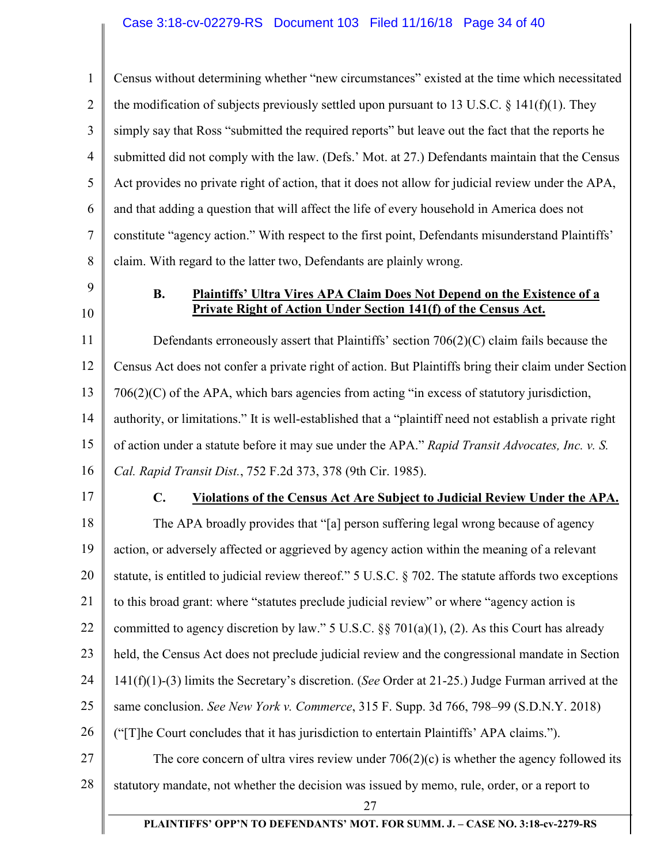1 2 3 4 5 6 7 8 Census without determining whether "new circumstances" existed at the time which necessitated the modification of subjects previously settled upon pursuant to 13 U.S.C.  $\S$  141(f)(1). They simply say that Ross "submitted the required reports" but leave out the fact that the reports he submitted did not comply with the law. (Defs.' Mot. at 27.) Defendants maintain that the Census Act provides no private right of action, that it does not allow for judicial review under the APA, and that adding a question that will affect the life of every household in America does not constitute "agency action." With respect to the first point, Defendants misunderstand Plaintiffs' claim. With regard to the latter two, Defendants are plainly wrong.

9

10

## **B. Plaintiffs' Ultra Vires APA Claim Does Not Depend on the Existence of a Private Right of Action Under Section 141(f) of the Census Act.**

11 12 13 14 15 16 Defendants erroneously assert that Plaintiffs' section 706(2)(C) claim fails because the Census Act does not confer a private right of action. But Plaintiffs bring their claim under Section 706(2)(C) of the APA, which bars agencies from acting "in excess of statutory jurisdiction, authority, or limitations." It is well-established that a "plaintiff need not establish a private right of action under a statute before it may sue under the APA." *Rapid Transit Advocates, Inc. v. S. Cal. Rapid Transit Dist.*, 752 F.2d 373, 378 (9th Cir. 1985).

17

#### **C. Violations of the Census Act Are Subject to Judicial Review Under the APA.**

18 19 20 21 22 23 24 25 26 27 28 The APA broadly provides that "[a] person suffering legal wrong because of agency action, or adversely affected or aggrieved by agency action within the meaning of a relevant statute, is entitled to judicial review thereof." 5 U.S.C. § 702. The statute affords two exceptions to this broad grant: where "statutes preclude judicial review" or where "agency action is committed to agency discretion by law." 5 U.S.C.  $\S$  701(a)(1), (2). As this Court has already held, the Census Act does not preclude judicial review and the congressional mandate in Section 141(f)(1)-(3) limits the Secretary's discretion. (*See* Order at 21-25.) Judge Furman arrived at the same conclusion. *See New York v. Commerce*, 315 F. Supp. 3d 766, 798–99 (S.D.N.Y. 2018) ("[T]he Court concludes that it has jurisdiction to entertain Plaintiffs' APA claims."). The core concern of ultra vires review under  $706(2)(c)$  is whether the agency followed its statutory mandate, not whether the decision was issued by memo, rule, order, or a report to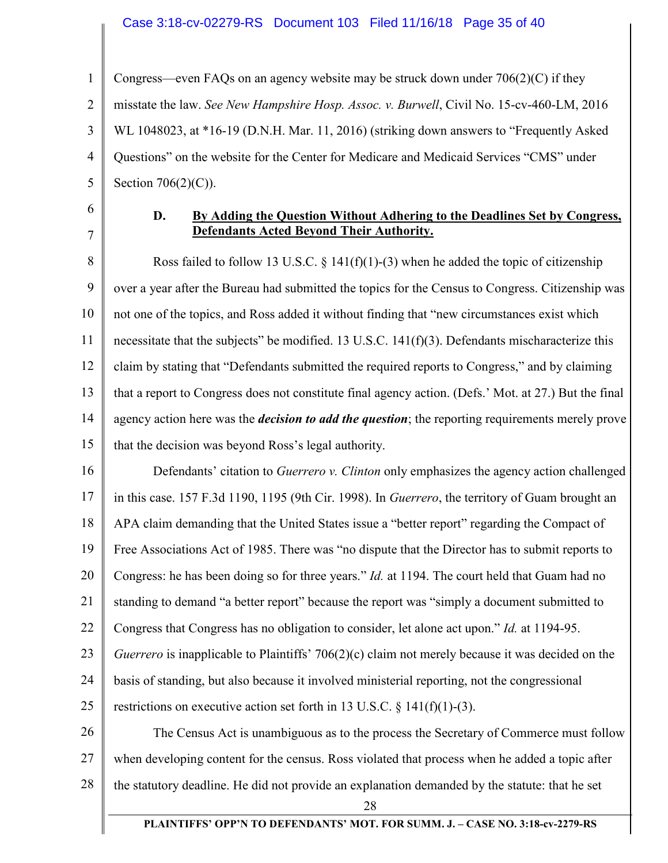#### Case 3:18-cv-02279-RS Document 103 Filed 11/16/18 Page 35 of 40

1 2 3 4 5 Congress—even FAQs on an agency website may be struck down under  $706(2)(C)$  if they misstate the law. *See New Hampshire Hosp. Assoc. v. Burwell*, Civil No. 15-cv-460-LM, 2016 WL 1048023, at \*16-19 (D.N.H. Mar. 11, 2016) (striking down answers to "Frequently Asked Questions" on the website for the Center for Medicare and Medicaid Services "CMS" under Section 706(2)(C)).

6 7

### **D. By Adding the Question Without Adhering to the Deadlines Set by Congress, Defendants Acted Beyond Their Authority.**

8 9 10 11 12 13 14 15 Ross failed to follow 13 U.S.C. § 141(f)(1)-(3) when he added the topic of citizenship over a year after the Bureau had submitted the topics for the Census to Congress. Citizenship was not one of the topics, and Ross added it without finding that "new circumstances exist which necessitate that the subjects" be modified. 13 U.S.C. 141(f)(3). Defendants mischaracterize this claim by stating that "Defendants submitted the required reports to Congress," and by claiming that a report to Congress does not constitute final agency action. (Defs.' Mot. at 27.) But the final agency action here was the *decision to add the question*; the reporting requirements merely prove that the decision was beyond Ross's legal authority.

16 17 18 19 20 21 22 23 24 25 26 Defendants' citation to *Guerrero v. Clinton* only emphasizes the agency action challenged in this case. 157 F.3d 1190, 1195 (9th Cir. 1998). In *Guerrero*, the territory of Guam brought an APA claim demanding that the United States issue a "better report" regarding the Compact of Free Associations Act of 1985. There was "no dispute that the Director has to submit reports to Congress: he has been doing so for three years." *Id.* at 1194. The court held that Guam had no standing to demand "a better report" because the report was "simply a document submitted to Congress that Congress has no obligation to consider, let alone act upon." *Id.* at 1194-95. *Guerrero* is inapplicable to Plaintiffs' 706(2)(c) claim not merely because it was decided on the basis of standing, but also because it involved ministerial reporting, not the congressional restrictions on executive action set forth in 13 U.S.C.  $\S$  141(f)(1)-(3).

27 28 The Census Act is unambiguous as to the process the Secretary of Commerce must follow when developing content for the census. Ross violated that process when he added a topic after the statutory deadline. He did not provide an explanation demanded by the statute: that he set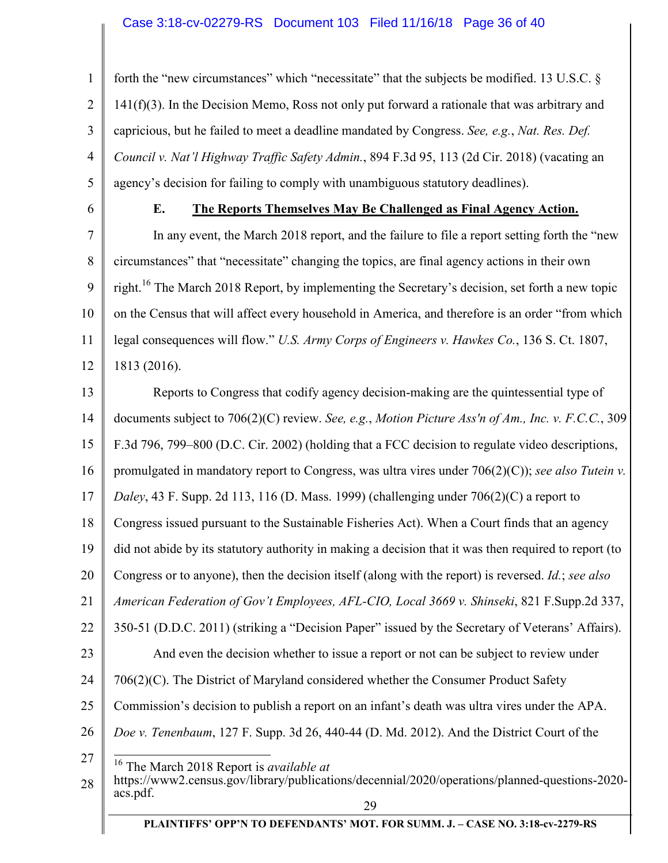#### Case 3:18-cv-02279-RS Document 103 Filed 11/16/18 Page 36 of 40

1 2 3 4 5 forth the "new circumstances" which "necessitate" that the subjects be modified. 13 U.S.C. §  $141(f)(3)$ . In the Decision Memo, Ross not only put forward a rationale that was arbitrary and capricious, but he failed to meet a deadline mandated by Congress. *See, e.g.*, *Nat. Res. Def. Council v. Nat'l Highway Traffic Safety Admin.*, 894 F.3d 95, 113 (2d Cir. 2018) (vacating an agency's decision for failing to comply with unambiguous statutory deadlines).

6

#### **E. The Reports Themselves May Be Challenged as Final Agency Action.**

7 8 9 10 11 12 In any event, the March 2018 report, and the failure to file a report setting forth the "new circumstances" that "necessitate" changing the topics, are final agency actions in their own right.<sup>16</sup> The March 2018 Report, by implementing the Secretary's decision, set forth a new topic on the Census that will affect every household in America, and therefore is an order "from which legal consequences will flow." *U.S. Army Corps of Engineers v. Hawkes Co.*, 136 S. Ct. 1807, 1813 (2016).

13 14 15 16 17 18 19 20 21 22 23 24 25 26 27 28 Reports to Congress that codify agency decision-making are the quintessential type of documents subject to 706(2)(C) review. *See, e.g.*, *Motion Picture Ass'n of Am., Inc. v. F.C.C.*, 309 F.3d 796, 799–800 (D.C. Cir. 2002) (holding that a FCC decision to regulate video descriptions, promulgated in mandatory report to Congress, was ultra vires under 706(2)(C)); *see also Tutein v. Daley*, 43 F. Supp. 2d 113, 116 (D. Mass. 1999) (challenging under 706(2)(C) a report to Congress issued pursuant to the Sustainable Fisheries Act). When a Court finds that an agency did not abide by its statutory authority in making a decision that it was then required to report (to Congress or to anyone), then the decision itself (along with the report) is reversed. *Id.*; *see also American Federation of Gov't Employees, AFL-CIO, Local 3669 v. Shinseki*, 821 F.Supp.2d 337, 350-51 (D.D.C. 2011) (striking a "Decision Paper" issued by the Secretary of Veterans' Affairs). And even the decision whether to issue a report or not can be subject to review under 706(2)(C). The District of Maryland considered whether the Consumer Product Safety Commission's decision to publish a report on an infant's death was ultra vires under the APA. *Doe v. Tenenbaum*, 127 F. Supp. 3d 26, 440-44 (D. Md. 2012). And the District Court of the  $\overline{a}$ 16 The March 2018 Report is *available at*  https://www2.census.gov/library/publications/decennial/2020/operations/planned-questions-2020 acs.pdf.

29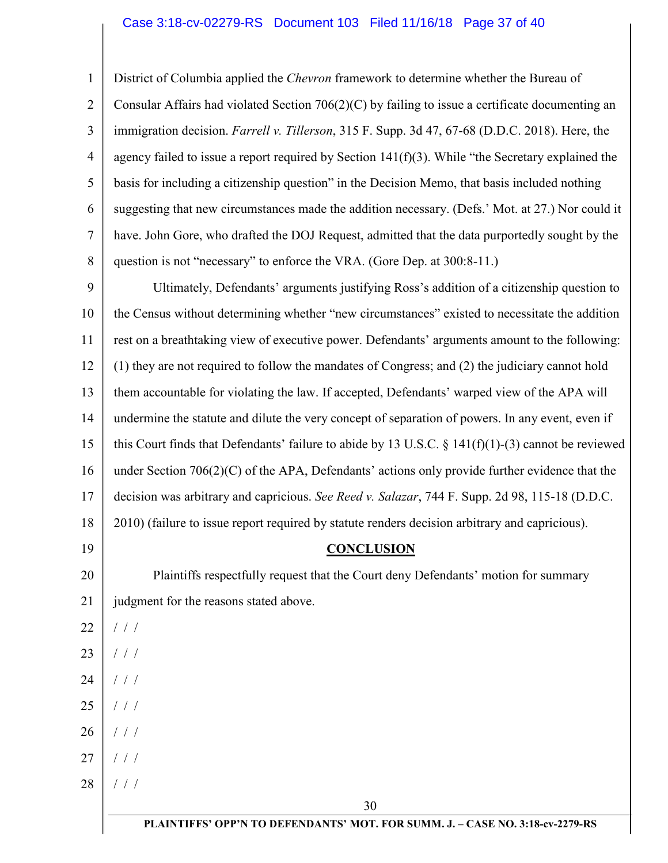#### Case 3:18-cv-02279-RS Document 103 Filed 11/16/18 Page 37 of 40

1 2 3 4 5 6 7 8 District of Columbia applied the *Chevron* framework to determine whether the Bureau of Consular Affairs had violated Section 706(2)(C) by failing to issue a certificate documenting an immigration decision. *Farrell v. Tillerson*, 315 F. Supp. 3d 47, 67-68 (D.D.C. 2018). Here, the agency failed to issue a report required by Section  $141(f)(3)$ . While "the Secretary explained the basis for including a citizenship question" in the Decision Memo, that basis included nothing suggesting that new circumstances made the addition necessary. (Defs.' Mot. at 27.) Nor could it have. John Gore, who drafted the DOJ Request, admitted that the data purportedly sought by the question is not "necessary" to enforce the VRA. (Gore Dep. at 300:8-11.)

9 10 11 12 13 14 15 16 17 18 19 Ultimately, Defendants' arguments justifying Ross's addition of a citizenship question to the Census without determining whether "new circumstances" existed to necessitate the addition rest on a breathtaking view of executive power. Defendants' arguments amount to the following: (1) they are not required to follow the mandates of Congress; and (2) the judiciary cannot hold them accountable for violating the law. If accepted, Defendants' warped view of the APA will undermine the statute and dilute the very concept of separation of powers. In any event, even if this Court finds that Defendants' failure to abide by 13 U.S.C.  $\S$  141(f)(1)-(3) cannot be reviewed under Section 706(2)(C) of the APA, Defendants' actions only provide further evidence that the decision was arbitrary and capricious. *See Reed v. Salazar*, 744 F. Supp. 2d 98, 115-18 (D.D.C. 2010) (failure to issue report required by statute renders decision arbitrary and capricious).

#### **CONCLUSION**

20 21 Plaintiffs respectfully request that the Court deny Defendants' motion for summary judgment for the reasons stated above.

22 / / /

- 23 / / /
- 24 / / /
- 25 / / /
- 26 / / /
- 27 / / /
- 28 / / /

**PLAINTIFFS' OPP'N TO DEFENDANTS' MOT. FOR SUMM. J. – CASE NO. 3:18-cv-2279-RS**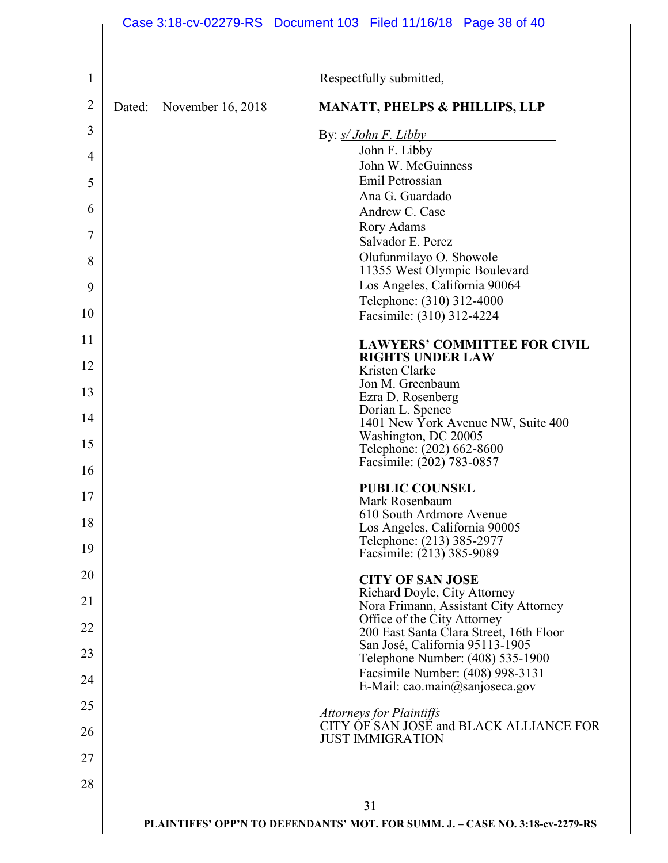|                |        |                   | Case 3:18-cv-02279-RS Document 103 Filed 11/16/18 Page 38 of 40                     |
|----------------|--------|-------------------|-------------------------------------------------------------------------------------|
| 1              |        |                   | Respectfully submitted,                                                             |
| $\overline{2}$ | Dated: | November 16, 2018 | <b>MANATT, PHELPS &amp; PHILLIPS, LLP</b>                                           |
| 3              |        |                   | By: $s/John F. Libby$                                                               |
| 4              |        |                   | John F. Libby                                                                       |
| 5              |        |                   | John W. McGuinness<br>Emil Petrossian                                               |
| 6              |        |                   | Ana G. Guardado<br>Andrew C. Case                                                   |
| 7              |        |                   | Rory Adams<br>Salvador E. Perez                                                     |
| 8              |        |                   | Olufunmilayo O. Showole                                                             |
| 9              |        |                   | 11355 West Olympic Boulevard<br>Los Angeles, California 90064                       |
| 10             |        |                   | Telephone: (310) 312-4000<br>Facsimile: (310) 312-4224                              |
| 11             |        |                   | <b>LAWYERS' COMMITTEE FOR CIVIL</b>                                                 |
| 12             |        |                   | <b>RIGHTS UNDER LAW</b><br>Kristen Clarke                                           |
| 13             |        |                   | Jon M. Greenbaum<br>Ezra D. Rosenberg                                               |
| 14             |        |                   | Dorian L. Spence<br>1401 New York Avenue NW, Suite 400                              |
| 15             |        |                   | Washington, DC 20005<br>Telephone: (202) 662-8600                                   |
| 16             |        |                   | Facsimile: (202) 783-0857                                                           |
| 17             |        |                   | <b>PUBLIC COUNSEL</b><br>Mark Rosenbaum                                             |
| 18             |        |                   | 610 South Ardmore Avenue<br>Los Angeles, California 90005                           |
| 19             |        |                   | Telephone: (213) 385-2977<br>Facsimile: (213) 385-9089                              |
| 20             |        |                   | <b>CITY OF SAN JOSE</b>                                                             |
| 21             |        |                   | Richard Doyle, City Attorney<br>Nora Frimann, Assistant City Attorney               |
| 22             |        |                   | Office of the City Attorney<br>200 East Santa Clara Street, 16th Floor              |
| 23             |        |                   | San José, California 95113-1905<br>Telephone Number: (408) 535-1900                 |
| 24             |        |                   | Facsimile Number: (408) 998-3131<br>E-Mail: cao.main@sanjoseca.gov                  |
| 25             |        |                   | <b>Attorneys for Plaintiffs</b>                                                     |
| 26             |        |                   | CITY OF SAN JOSE and BLACK ALLIANCE FOR<br><b>JUST IMMIGRATION</b>                  |
| 27             |        |                   |                                                                                     |
| 28             |        |                   |                                                                                     |
|                |        |                   | 31<br>PLAINTIFFS' OPP'N TO DEFENDANTS' MOT. FOR SUMM. J. - CASE NO. 3:18-cv-2279-RS |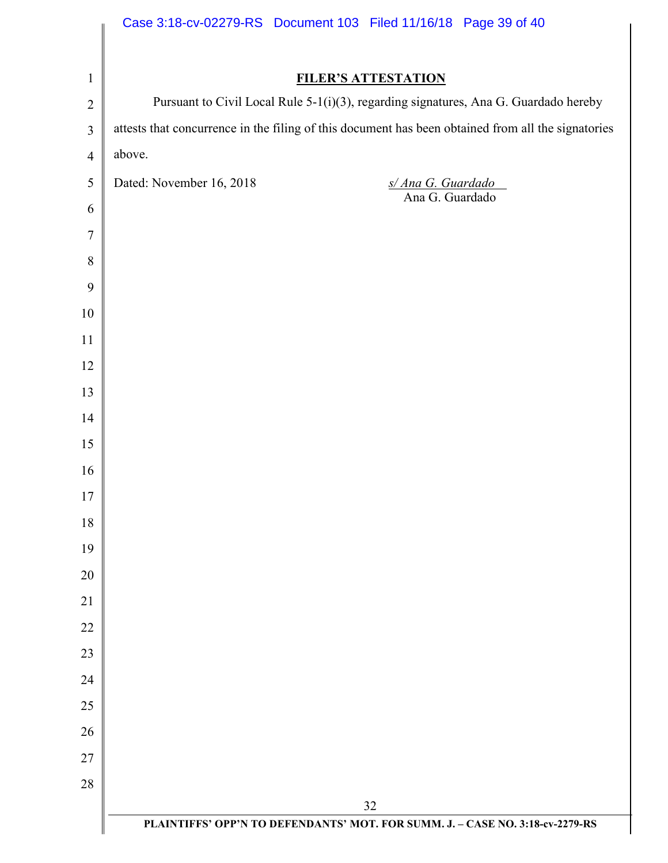|                | Case 3:18-cv-02279-RS Document 103 Filed 11/16/18 Page 39 of 40                                                    |
|----------------|--------------------------------------------------------------------------------------------------------------------|
|                |                                                                                                                    |
| $\mathbf{1}$   | <b>FILER'S ATTESTATION</b><br>Pursuant to Civil Local Rule 5-1(i)(3), regarding signatures, Ana G. Guardado hereby |
| $\overline{2}$ | attests that concurrence in the filing of this document has been obtained from all the signatories                 |
| $\mathfrak{Z}$ | above.                                                                                                             |
| $\overline{4}$ |                                                                                                                    |
| $\sqrt{5}$     | Dated: November 16, 2018<br>s/ Ana G. Guardado<br>Ana G. Guardado                                                  |
| 6              |                                                                                                                    |
| $\tau$         |                                                                                                                    |
| $8\,$<br>9     |                                                                                                                    |
| 10             |                                                                                                                    |
| 11             |                                                                                                                    |
| 12             |                                                                                                                    |
| 13             |                                                                                                                    |
| 14             |                                                                                                                    |
| 15             |                                                                                                                    |
| 16             |                                                                                                                    |
| 17             |                                                                                                                    |
| 18             |                                                                                                                    |
| 19             |                                                                                                                    |
| 20             |                                                                                                                    |
| 21             |                                                                                                                    |
| 22             |                                                                                                                    |
| 23             |                                                                                                                    |
| 24             |                                                                                                                    |
| 25             |                                                                                                                    |
| 26             |                                                                                                                    |
| 27             |                                                                                                                    |
| 28             |                                                                                                                    |
|                | 32                                                                                                                 |
|                | PLAINTIFFS' OPP'N TO DEFENDANTS' MOT. FOR SUMM. J. - CASE NO. 3:18-cv-2279-RS                                      |